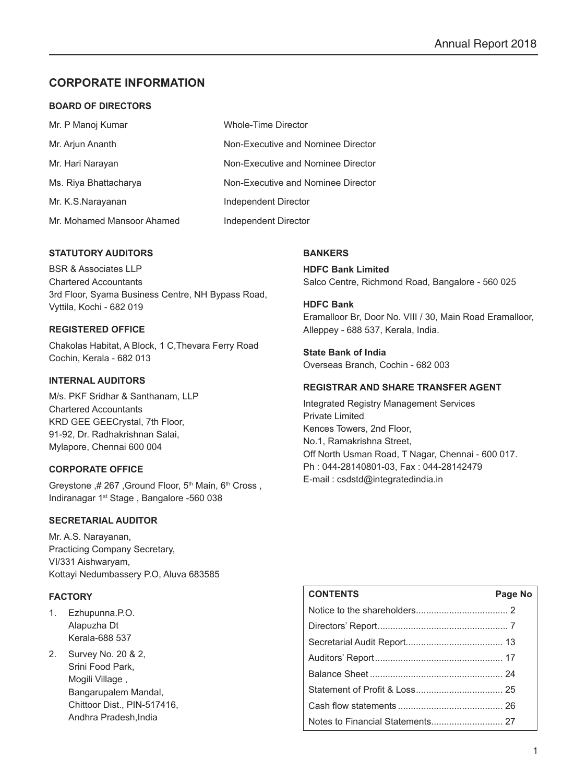# **CORPORATE INFORMATION**

# **BOARD OF DIRECTORS**

| Mr. P Manoj Kumar          | Whole-Time Director                |
|----------------------------|------------------------------------|
| Mr. Arjun Ananth           | Non-Executive and Nominee Director |
| Mr. Hari Narayan           | Non-Executive and Nominee Director |
| Ms. Riya Bhattacharya      | Non-Executive and Nominee Director |
| Mr. K.S.Narayanan          | Independent Director               |
| Mr. Mohamed Mansoor Ahamed | Independent Director               |

# **STATUTORY AUDITORS**

BSR & Associates LLP Chartered Accountants 3rd Floor, Syama Business Centre, NH Bypass Road, Vyttila, Kochi - 682 019

# **REGISTERED OFFICE**

Chakolas Habitat, A Block, 1 C,Thevara Ferry Road Cochin, Kerala - 682 013

# **INTERNAL AUDITORS**

M/s. PKF Sridhar & Santhanam, LLP Chartered Accountants KRD GEE GEECrystal, 7th Floor, 91-92, Dr. Radhakrishnan Salai, Mylapore, Chennai 600 004

# **CORPORATE OFFICE**

Greystone ,# 267 ,Ground Floor, 5<sup>th</sup> Main, 6<sup>th</sup> Cross, Indiranagar 1st Stage , Bangalore -560 038

# **SECRETARIAL AUDITOR**

Mr. A.S. Narayanan, Practicing Company Secretary, VI/331 Aishwaryam, Kottayi Nedumbassery P.O, Aluva 683585

# **FACTORY**

- 1. Ezhupunna.P.O. Alapuzha Dt Kerala-688 537
- 2. Survey No. 20 & 2, Srini Food Park, Mogili Village , Bangarupalem Mandal, Chittoor Dist., PIN-517416, Andhra Pradesh,India

# **BANKERS**

**HDFC Bank Limited** Salco Centre, Richmond Road, Bangalore - 560 025

### **HDFC Bank**

Eramalloor Br, Door No. VIII / 30, Main Road Eramalloor, Alleppey - 688 537, Kerala, India.

**State Bank of India** Overseas Branch, Cochin - 682 003

# **REGISTRAR AND SHARE TRANSFER AGENT**

Integrated Registry Management Services Private Limited Kences Towers, 2nd Floor, No.1, Ramakrishna Street, Off North Usman Road, T Nagar, Chennai - 600 017. Ph : 044-28140801-03, Fax : 044-28142479 E-mail : csdstd@integratedindia.in

| <b>CONTENTS</b> | Page No |
|-----------------|---------|
|                 |         |
|                 |         |
|                 |         |
|                 |         |
|                 |         |
|                 |         |
|                 |         |
|                 |         |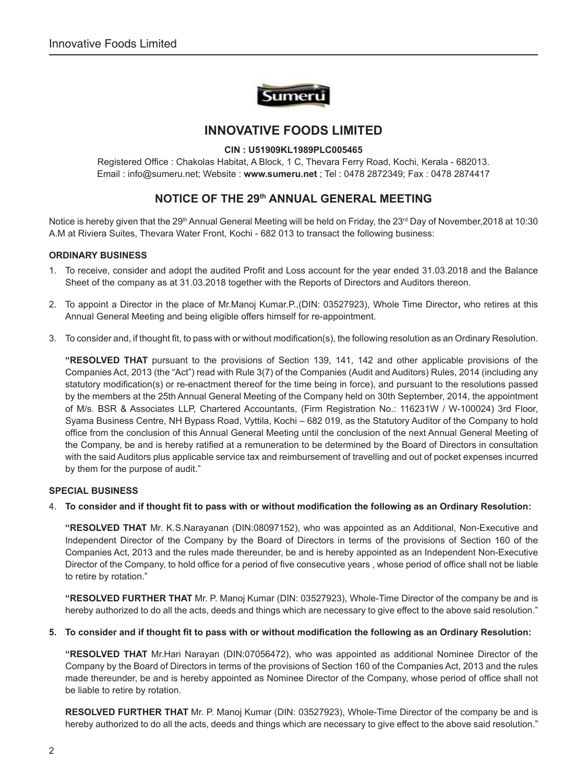

# **INNOVATIVE FOODS LIMITED**

# **CIN : U51909KL1989PLC005465**

Registered Office : Chakolas Habitat, A Block, 1 C, Thevara Ferry Road, Kochi, Kerala - 682013. Email : info@sumeru.net; Website : **www.sumeru.net** ; Tel : 0478 2872349; Fax : 0478 2874417

# **NOTICE OF THE 29th ANNUAL GENERAL MEETING**

Notice is hereby given that the 29<sup>th</sup> Annual General Meeting will be held on Friday, the 23<sup>rd</sup> Day of November, 2018 at 10:30 A.M at Riviera Suites, Thevara Water Front, Kochi - 682 013 to transact the following business:

### **ORDINARY BUSINESS**

- 1. To receive, consider and adopt the audited Profit and Loss account for the year ended 31.03.2018 and the Balance Sheet of the company as at 31.03.2018 together with the Reports of Directors and Auditors thereon.
- 2. To appoint a Director in the place of Mr.Manoj Kumar.P.,(DIN: 03527923), Whole Time Director**,** who retires at this Annual General Meeting and being eligible offers himself for re-appointment.
- 3. To consider and, if thought fit, to pass with or without modification(s), the following resolution as an Ordinary Resolution.

**"RESOLVED THAT** pursuant to the provisions of Section 139, 141, 142 and other applicable provisions of the Companies Act, 2013 (the "Act") read with Rule 3(7) of the Companies (Audit and Auditors) Rules, 2014 (including any statutory modification(s) or re-enactment thereof for the time being in force), and pursuant to the resolutions passed by the members at the 25th Annual General Meeting of the Company held on 30th September, 2014, the appointment of M/s. BSR & Associates LLP, Chartered Accountants, (Firm Registration No.: 116231W / W-100024) 3rd Floor, Syama Business Centre, NH Bypass Road, Vyttila, Kochi – 682 019, as the Statutory Auditor of the Company to hold office from the conclusion of this Annual General Meeting until the conclusion of the next Annual General Meeting of the Company, be and is hereby ratified at a remuneration to be determined by the Board of Directors in consultation with the said Auditors plus applicable service tax and reimbursement of travelling and out of pocket expenses incurred by them for the purpose of audit."

### **SPECIAL BUSINESS**

4. **To consider and if thought fit to pass with or without modification the following as an Ordinary Resolution:**

**"RESOLVED THAT** Mr. K.S.Narayanan (DIN:08097152), who was appointed as an Additional, Non-Executive and Independent Director of the Company by the Board of Directors in terms of the provisions of Section 160 of the Companies Act, 2013 and the rules made thereunder, be and is hereby appointed as an Independent Non-Executive Director of the Company, to hold office for a period of five consecutive years , whose period of office shall not be liable to retire by rotation."

**"RESOLVED FURTHER THAT** Mr. P. Manoj Kumar (DIN: 03527923), Whole-Time Director of the company be and is hereby authorized to do all the acts, deeds and things which are necessary to give effect to the above said resolution."

### **5. To consider and if thought fit to pass with or without modification the following as an Ordinary Resolution:**

**"RESOLVED THAT** Mr.Hari Narayan (DIN:07056472), who was appointed as additional Nominee Director of the Company by the Board of Directors in terms of the provisions of Section 160 of the Companies Act, 2013 and the rules made thereunder, be and is hereby appointed as Nominee Director of the Company, whose period of office shall not be liable to retire by rotation.

**RESOLVED FURTHER THAT** Mr. P. Manoj Kumar (DIN: 03527923), Whole-Time Director of the company be and is hereby authorized to do all the acts, deeds and things which are necessary to give effect to the above said resolution."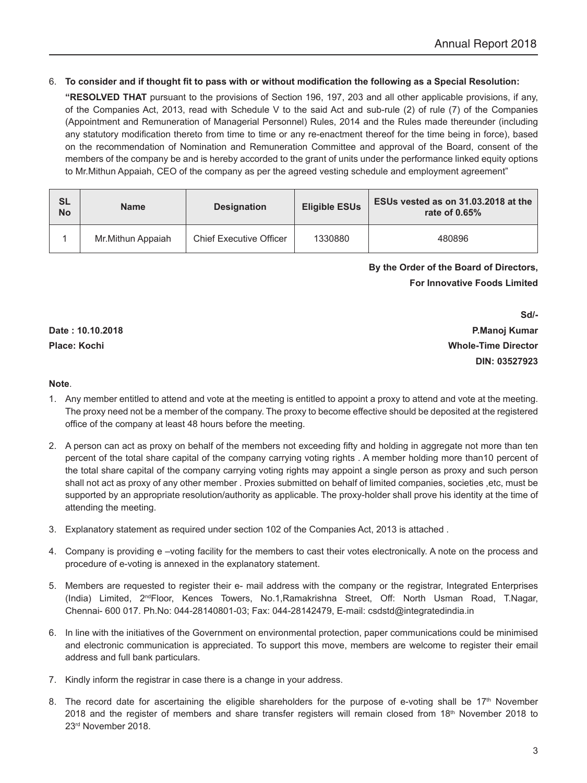# 6. **To consider and if thought fit to pass with or without modification the following as a Special Resolution:**

**"RESOLVED THAT** pursuant to the provisions of Section 196, 197, 203 and all other applicable provisions, if any, of the Companies Act, 2013, read with Schedule V to the said Act and sub-rule (2) of rule (7) of the Companies (Appointment and Remuneration of Managerial Personnel) Rules, 2014 and the Rules made thereunder (including any statutory modification thereto from time to time or any re-enactment thereof for the time being in force), based on the recommendation of Nomination and Remuneration Committee and approval of the Board, consent of the members of the company be and is hereby accorded to the grant of units under the performance linked equity options to Mr.Mithun Appaiah, CEO of the company as per the agreed vesting schedule and employment agreement"

| SL<br>No | <b>Name</b>        | <b>Designation</b>             | <b>Eligible ESUs</b> | ESUs vested as on 31,03,2018 at the<br>rate of $0.65%$ |
|----------|--------------------|--------------------------------|----------------------|--------------------------------------------------------|
|          | Mr. Mithun Appaiah | <b>Chief Executive Officer</b> | 1330880              | 480896                                                 |

# **By the Order of the Board of Directors, For Innovative Foods Limited**

**Sd/- Date : 10.10.2018 P.Manoj Kumar Place: Kochi Whole-Time Director DIN: 03527923**

# **Note**.

- 1. Any member entitled to attend and vote at the meeting is entitled to appoint a proxy to attend and vote at the meeting. The proxy need not be a member of the company. The proxy to become effective should be deposited at the registered office of the company at least 48 hours before the meeting.
- 2. A person can act as proxy on behalf of the members not exceeding fifty and holding in aggregate not more than ten percent of the total share capital of the company carrying voting rights . A member holding more than10 percent of the total share capital of the company carrying voting rights may appoint a single person as proxy and such person shall not act as proxy of any other member . Proxies submitted on behalf of limited companies, societies ,etc, must be supported by an appropriate resolution/authority as applicable. The proxy-holder shall prove his identity at the time of attending the meeting.
- 3. Explanatory statement as required under section 102 of the Companies Act, 2013 is attached .
- 4. Company is providing e –voting facility for the members to cast their votes electronically. A note on the process and procedure of e-voting is annexed in the explanatory statement.
- 5. Members are requested to register their e- mail address with the company or the registrar, Integrated Enterprises (India) Limited, 2ndFloor, Kences Towers, No.1,Ramakrishna Street, Off: North Usman Road, T.Nagar, Chennai- 600 017. Ph.No: 044-28140801-03; Fax: 044-28142479, E-mail: csdstd@integratedindia.in
- 6. In line with the initiatives of the Government on environmental protection, paper communications could be minimised and electronic communication is appreciated. To support this move, members are welcome to register their email address and full bank particulars.
- 7. Kindly inform the registrar in case there is a change in your address.
- 8. The record date for ascertaining the eligible shareholders for the purpose of e-voting shall be  $17<sup>th</sup>$  November 2018 and the register of members and share transfer registers will remain closed from 18th November 2018 to 23rd November 2018.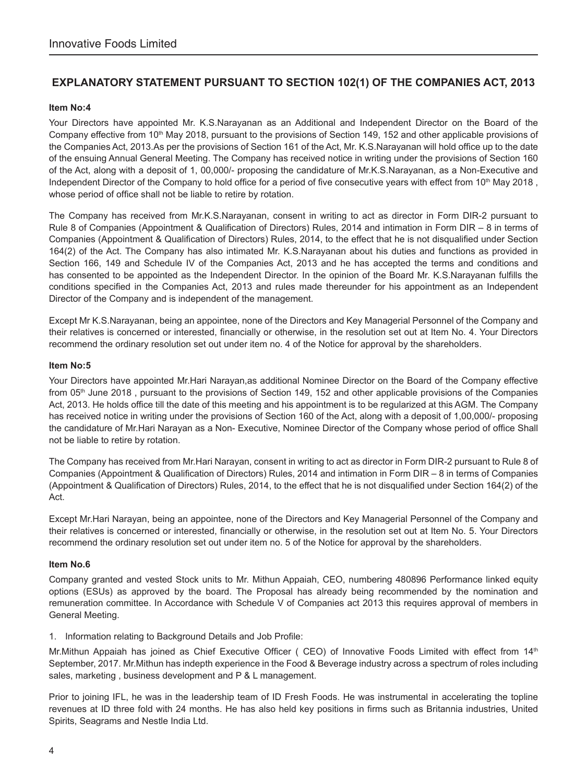# **EXPLANATORY STATEMENT PURSUANT TO SECTION 102(1) OF THE COMPANIES ACT, 2013**

## **Item No:4**

Your Directors have appointed Mr. K.S.Narayanan as an Additional and Independent Director on the Board of the Company effective from 10<sup>th</sup> May 2018, pursuant to the provisions of Section 149, 152 and other applicable provisions of the Companies Act, 2013.As per the provisions of Section 161 of the Act, Mr. K.S.Narayanan will hold office up to the date of the ensuing Annual General Meeting. The Company has received notice in writing under the provisions of Section 160 of the Act, along with a deposit of 1, 00,000/- proposing the candidature of Mr.K.S.Narayanan, as a Non-Executive and Independent Director of the Company to hold office for a period of five consecutive years with effect from 10<sup>th</sup> May 2018, whose period of office shall not be liable to retire by rotation.

The Company has received from Mr.K.S.Narayanan, consent in writing to act as director in Form DIR-2 pursuant to Rule 8 of Companies (Appointment & Qualification of Directors) Rules, 2014 and intimation in Form DIR – 8 in terms of Companies (Appointment & Qualification of Directors) Rules, 2014, to the effect that he is not disqualified under Section 164(2) of the Act. The Company has also intimated Mr. K.S.Narayanan about his duties and functions as provided in Section 166, 149 and Schedule IV of the Companies Act, 2013 and he has accepted the terms and conditions and has consented to be appointed as the Independent Director. In the opinion of the Board Mr. K.S.Narayanan fulfills the conditions specified in the Companies Act, 2013 and rules made thereunder for his appointment as an Independent Director of the Company and is independent of the management.

Except Mr K.S.Narayanan, being an appointee, none of the Directors and Key Managerial Personnel of the Company and their relatives is concerned or interested, financially or otherwise, in the resolution set out at Item No. 4. Your Directors recommend the ordinary resolution set out under item no. 4 of the Notice for approval by the shareholders.

### **Item No:5**

Your Directors have appointed Mr.Hari Narayan,as additional Nominee Director on the Board of the Company effective from 05<sup>th</sup> June 2018, pursuant to the provisions of Section 149, 152 and other applicable provisions of the Companies Act, 2013. He holds office till the date of this meeting and his appointment is to be regularized at this AGM. The Company has received notice in writing under the provisions of Section 160 of the Act, along with a deposit of 1,00,000/- proposing the candidature of Mr.Hari Narayan as a Non- Executive, Nominee Director of the Company whose period of office Shall not be liable to retire by rotation.

The Company has received from Mr.Hari Narayan, consent in writing to act as director in Form DIR-2 pursuant to Rule 8 of Companies (Appointment & Qualification of Directors) Rules, 2014 and intimation in Form DIR – 8 in terms of Companies (Appointment & Qualification of Directors) Rules, 2014, to the effect that he is not disqualified under Section 164(2) of the Act.

Except Mr.Hari Narayan, being an appointee, none of the Directors and Key Managerial Personnel of the Company and their relatives is concerned or interested, financially or otherwise, in the resolution set out at Item No. 5. Your Directors recommend the ordinary resolution set out under item no. 5 of the Notice for approval by the shareholders.

# **Item No.6**

Company granted and vested Stock units to Mr. Mithun Appaiah, CEO, numbering 480896 Performance linked equity options (ESUs) as approved by the board. The Proposal has already being recommended by the nomination and remuneration committee. In Accordance with Schedule V of Companies act 2013 this requires approval of members in General Meeting.

1. Information relating to Background Details and Job Profile:

Mr.Mithun Appaiah has joined as Chief Executive Officer ( CEO) of Innovative Foods Limited with effect from 14<sup>th</sup> September, 2017. Mr.Mithun has indepth experience in the Food & Beverage industry across a spectrum of roles including sales, marketing , business development and P & L management.

Prior to joining IFL, he was in the leadership team of ID Fresh Foods. He was instrumental in accelerating the topline revenues at ID three fold with 24 months. He has also held key positions in firms such as Britannia industries, United Spirits, Seagrams and Nestle India Ltd.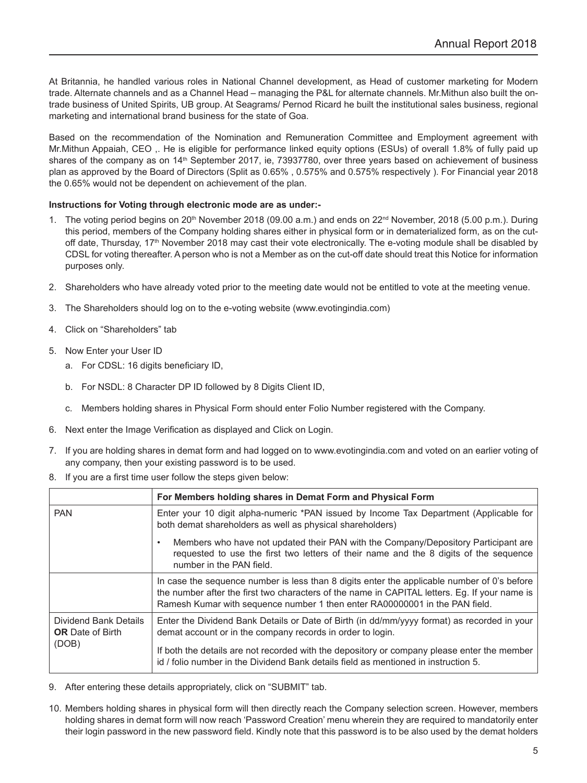At Britannia, he handled various roles in National Channel development, as Head of customer marketing for Modern trade. Alternate channels and as a Channel Head – managing the P&L for alternate channels. Mr.Mithun also built the ontrade business of United Spirits, UB group. At Seagrams/ Pernod Ricard he built the institutional sales business, regional marketing and international brand business for the state of Goa.

Based on the recommendation of the Nomination and Remuneration Committee and Employment agreement with Mr.Mithun Appaiah, CEO ,. He is eligible for performance linked equity options (ESUs) of overall 1.8% of fully paid up shares of the company as on 14<sup>th</sup> September 2017, ie, 73937780, over three years based on achievement of business plan as approved by the Board of Directors (Split as 0.65% , 0.575% and 0.575% respectively ). For Financial year 2018 the 0.65% would not be dependent on achievement of the plan.

# **Instructions for Voting through electronic mode are as under:-**

- 1. The voting period begins on 20<sup>th</sup> November 2018 (09.00 a.m.) and ends on 22<sup>nd</sup> November, 2018 (5.00 p.m.). During this period, members of the Company holding shares either in physical form or in dematerialized form, as on the cutoff date, Thursday, 17<sup>th</sup> November 2018 may cast their vote electronically. The e-voting module shall be disabled by CDSL for voting thereafter. A person who is not a Member as on the cut-off date should treat this Notice for information purposes only.
- 2. Shareholders who have already voted prior to the meeting date would not be entitled to vote at the meeting venue.
- 3. The Shareholders should log on to the e-voting website (www.evotingindia.com)
- 4. Click on "Shareholders" tab
- 5. Now Enter your User ID
	- a. For CDSL: 16 digits beneficiary ID,
	- b. For NSDL: 8 Character DP ID followed by 8 Digits Client ID,
	- c. Members holding shares in Physical Form should enter Folio Number registered with the Company.
- 6. Next enter the Image Verification as displayed and Click on Login.
- 7. If you are holding shares in demat form and had logged on to www.evotingindia.com and voted on an earlier voting of any company, then your existing password is to be used.
- 8. If you are a first time user follow the steps given below:

|                                                           | For Members holding shares in Demat Form and Physical Form                                                                                                                                                                                                                  |
|-----------------------------------------------------------|-----------------------------------------------------------------------------------------------------------------------------------------------------------------------------------------------------------------------------------------------------------------------------|
| <b>PAN</b>                                                | Enter your 10 digit alpha-numeric *PAN issued by Income Tax Department (Applicable for<br>both demat shareholders as well as physical shareholders)                                                                                                                         |
|                                                           | Members who have not updated their PAN with the Company/Depository Participant are<br>requested to use the first two letters of their name and the 8 digits of the sequence<br>number in the PAN field.                                                                     |
|                                                           | In case the sequence number is less than 8 digits enter the applicable number of 0's before<br>the number after the first two characters of the name in CAPITAL letters. Eq. If your name is<br>Ramesh Kumar with sequence number 1 then enter RA00000001 in the PAN field. |
| Dividend Bank Details<br><b>OR</b> Date of Birth<br>(DOB) | Enter the Dividend Bank Details or Date of Birth (in dd/mm/yyyy format) as recorded in your<br>demat account or in the company records in order to login.                                                                                                                   |
|                                                           | If both the details are not recorded with the depository or company please enter the member<br>id / folio number in the Dividend Bank details field as mentioned in instruction 5.                                                                                          |

- 9. After entering these details appropriately, click on "SUBMIT" tab.
- 10. Members holding shares in physical form will then directly reach the Company selection screen. However, members holding shares in demat form will now reach 'Password Creation' menu wherein they are required to mandatorily enter their login password in the new password field. Kindly note that this password is to be also used by the demat holders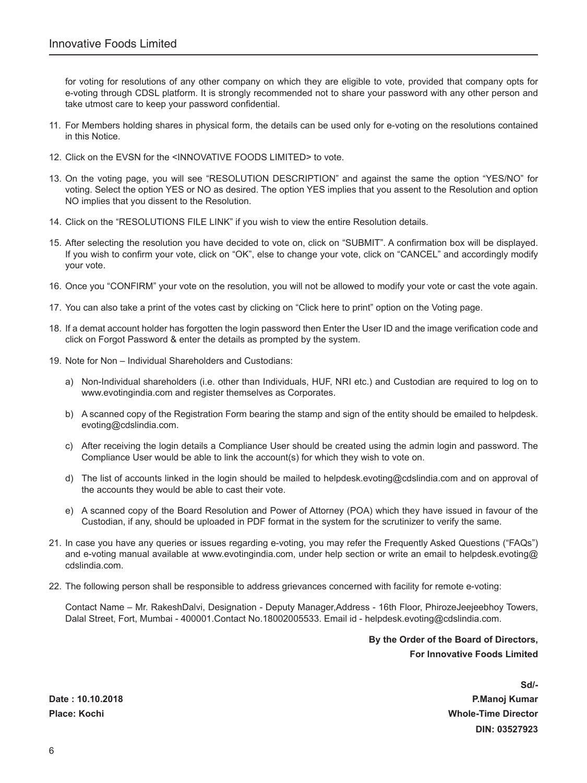for voting for resolutions of any other company on which they are eligible to vote, provided that company opts for e-voting through CDSL platform. It is strongly recommended not to share your password with any other person and take utmost care to keep your password confidential.

- 11. For Members holding shares in physical form, the details can be used only for e-voting on the resolutions contained in this Notice.
- 12. Click on the EVSN for the <INNOVATIVE FOODS LIMITED> to vote.
- 13. On the voting page, you will see "RESOLUTION DESCRIPTION" and against the same the option "YES/NO" for voting. Select the option YES or NO as desired. The option YES implies that you assent to the Resolution and option NO implies that you dissent to the Resolution.
- 14. Click on the "RESOLUTIONS FILE LINK" if you wish to view the entire Resolution details.
- 15. After selecting the resolution you have decided to vote on, click on "SUBMIT". A confirmation box will be displayed. If you wish to confirm your vote, click on "OK", else to change your vote, click on "CANCEL" and accordingly modify your vote.
- 16. Once you "CONFIRM" your vote on the resolution, you will not be allowed to modify your vote or cast the vote again.
- 17. You can also take a print of the votes cast by clicking on "Click here to print" option on the Voting page.
- 18. If a demat account holder has forgotten the login password then Enter the User ID and the image verification code and click on Forgot Password & enter the details as prompted by the system.
- 19. Note for Non Individual Shareholders and Custodians:
	- a) Non-Individual shareholders (i.e. other than Individuals, HUF, NRI etc.) and Custodian are required to log on to www.evotingindia.com and register themselves as Corporates.
	- b) A scanned copy of the Registration Form bearing the stamp and sign of the entity should be emailed to helpdesk. evoting@cdslindia.com.
	- c) After receiving the login details a Compliance User should be created using the admin login and password. The Compliance User would be able to link the account(s) for which they wish to vote on.
	- d) The list of accounts linked in the login should be mailed to helpdesk.evoting@cdslindia.com and on approval of the accounts they would be able to cast their vote.
	- e) A scanned copy of the Board Resolution and Power of Attorney (POA) which they have issued in favour of the Custodian, if any, should be uploaded in PDF format in the system for the scrutinizer to verify the same.
- 21. In case you have any queries or issues regarding e-voting, you may refer the Frequently Asked Questions ("FAQs") and e-voting manual available at www.evotingindia.com, under help section or write an email to helpdesk.evoting@ cdslindia.com.
- 22. The following person shall be responsible to address grievances concerned with facility for remote e-voting:

Contact Name – Mr. RakeshDalvi, Designation - Deputy Manager,Address - 16th Floor, PhirozeJeejeebhoy Towers, Dalal Street, Fort, Mumbai - 400001.Contact No.18002005533. Email id - helpdesk.evoting@cdslindia.com.

> **By the Order of the Board of Directors, For Innovative Foods Limited**

**Sd/- Date : 10.10.2018 P.Manoj Kumar Place: Kochi Whole-Time Director DIN: 03527923**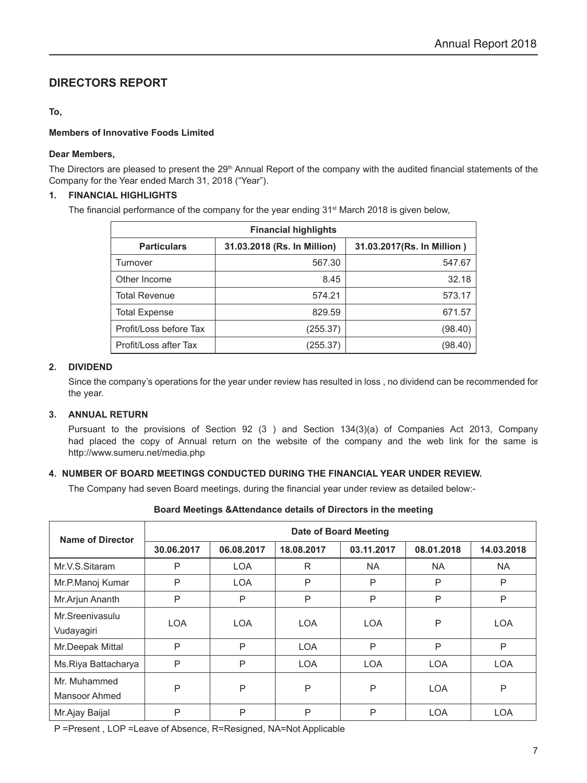# **DIRECTORS REPORT**

**To,**

# **Members of Innovative Foods Limited**

# **Dear Members,**

The Directors are pleased to present the 29<sup>th</sup> Annual Report of the company with the audited financial statements of the Company for the Year ended March 31, 2018 ("Year").

# **1. FINANCIAL HIGHLIGHTS**

The financial performance of the company for the year ending  $31<sup>st</sup>$  March 2018 is given below,

| <b>Financial highlights</b> |                             |                            |  |  |
|-----------------------------|-----------------------------|----------------------------|--|--|
| <b>Particulars</b>          | 31.03.2018 (Rs. In Million) | 31.03.2017(Rs. In Million) |  |  |
| Turnover                    | 567.30                      | 547.67                     |  |  |
| Other Income                | 8.45                        | 32.18                      |  |  |
| <b>Total Revenue</b>        | 574.21                      | 573.17                     |  |  |
| <b>Total Expense</b>        | 829.59                      | 671.57                     |  |  |
| Profit/Loss before Tax      | (255.37)                    | (98.40)                    |  |  |
| Profit/Loss after Tax       | (255.37)                    | (98.40)                    |  |  |

# **2. DIVIDEND**

Since the company's operations for the year under review has resulted in loss , no dividend can be recommended for the year.

# **3. ANNUAL RETURN**

Pursuant to the provisions of Section 92 (3 ) and Section 134(3)(a) of Companies Act 2013, Company had placed the copy of Annual return on the website of the company and the web link for the same is http://www.sumeru.net/media.php

# **4. NUMBER OF BOARD MEETINGS CONDUCTED DURING THE FINANCIAL YEAR UNDER REVIEW.**

The Company had seven Board meetings, during the financial year under review as detailed below:-

| Name of Director              | Date of Board Meeting |            |            |            |            |            |
|-------------------------------|-----------------------|------------|------------|------------|------------|------------|
|                               | 30.06.2017            | 06.08.2017 | 18.08.2017 | 03.11.2017 | 08.01.2018 | 14.03.2018 |
| Mr.V.S.Sitaram                | P                     | <b>LOA</b> | R          | <b>NA</b>  | <b>NA</b>  | <b>NA</b>  |
| Mr.P.Manoj Kumar              | P                     | <b>LOA</b> | P          | P          | P          | P          |
| Mr. Arjun Ananth              | P                     | P          | P          | P          | P          | P          |
| Mr.Sreenivasulu<br>Vudayagiri | <b>LOA</b>            | <b>LOA</b> | <b>LOA</b> | <b>LOA</b> | P          | <b>LOA</b> |
| Mr.Deepak Mittal              | P                     | P          | <b>LOA</b> | P          | P          | P          |
| Ms.Riya Battacharya           | P                     | P          | <b>LOA</b> | <b>LOA</b> | <b>LOA</b> | <b>LOA</b> |
| Mr. Muhammed<br>Mansoor Ahmed | P                     | P          | P          | P          | <b>LOA</b> | P          |
| Mr.Ajay Baijal                | P                     | P          | P          | P          | <b>LOA</b> | <b>LOA</b> |

**Board Meetings &Attendance details of Directors in the meeting**

P =Present , LOP =Leave of Absence, R=Resigned, NA=Not Applicable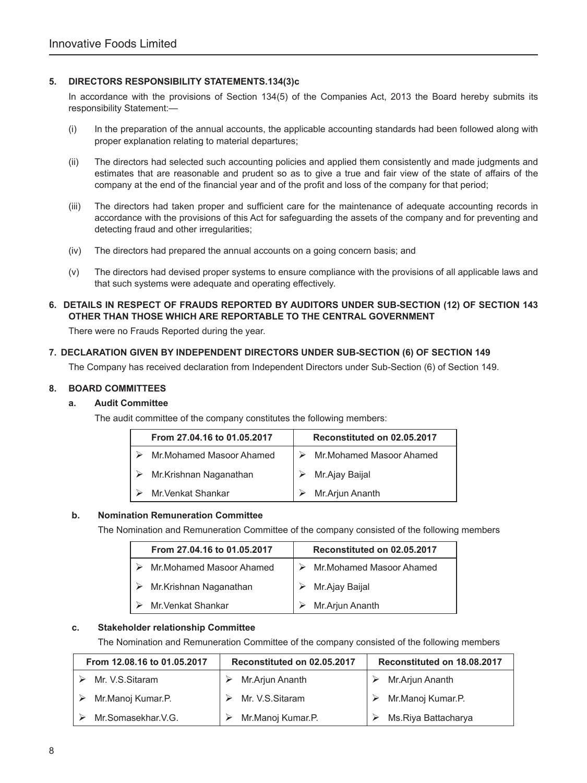# **5. DIRECTORS RESPONSIBILITY STATEMENTS.134(3)c**

In accordance with the provisions of Section 134(5) of the Companies Act, 2013 the Board hereby submits its responsibility Statement:—

- (i) In the preparation of the annual accounts, the applicable accounting standards had been followed along with proper explanation relating to material departures;
- (ii) The directors had selected such accounting policies and applied them consistently and made judgments and estimates that are reasonable and prudent so as to give a true and fair view of the state of affairs of the company at the end of the financial year and of the profit and loss of the company for that period;
- (iii) The directors had taken proper and sufficient care for the maintenance of adequate accounting records in accordance with the provisions of this Act for safeguarding the assets of the company and for preventing and detecting fraud and other irregularities;
- (iv) The directors had prepared the annual accounts on a going concern basis; and
- (v) The directors had devised proper systems to ensure compliance with the provisions of all applicable laws and that such systems were adequate and operating effectively.

# **6. DETAILS IN RESPECT OF FRAUDS REPORTED BY AUDITORS UNDER SUB-SECTION (12) OF SECTION 143 OTHER THAN THOSE WHICH ARE REPORTABLE TO THE CENTRAL GOVERNMENT**

There were no Frauds Reported during the year.

# **7. DECLARATION GIVEN BY INDEPENDENT DIRECTORS UNDER SUB-SECTION (6) OF SECTION 149**

The Company has received declaration from Independent Directors under Sub-Section (6) of Section 149.

# **8. BOARD COMMITTEES**

# **a. Audit Committee**

The audit committee of the company constitutes the following members:

| From 27.04.16 to 01.05.2017 |                                          | Reconstituted on 02.05.2017 |
|-----------------------------|------------------------------------------|-----------------------------|
|                             | Mr.Mohamed Masoor Ahamed                 | Mr.Mohamed Masoor Ahamed    |
|                             | $\triangleright$ Mr. Krishnan Naganathan | Mr.Ajay Baijal              |
|                             | Mr. Venkat Shankar                       | Mr. Arjun Ananth            |

# **b. Nomination Remuneration Committee**

The Nomination and Remuneration Committee of the company consisted of the following members

| From 27.04.16 to 01.05.2017 | Reconstituted on 02.05.2017 |
|-----------------------------|-----------------------------|
| Mr.Mohamed Masoor Ahamed    | Mr. Mohamed Masoor Ahamed   |
| Mr.Krishnan Naganathan      | Mr. Ajay Baijal             |
| Mr. Venkat Shankar          | Mr. Arjun Ananth            |

# **c. Stakeholder relationship Committee**

The Nomination and Remuneration Committee of the company consisted of the following members

| From 12.08.16 to 01.05.2017 | Reconstituted on 02.05.2017 | Reconstituted on 18.08.2017 |
|-----------------------------|-----------------------------|-----------------------------|
| Mr. V.S. Sitaram            | Mr. Arjun Ananth            | Mr. Arjun Ananth            |
| Mr.Manoj Kumar.P.           | Mr. V.S.Sitaram             | Mr.Manoj Kumar.P.           |
| Mr.Somasekhar.V.G.          | Mr.Manoj Kumar.P.           | Ms.Riya Battacharya         |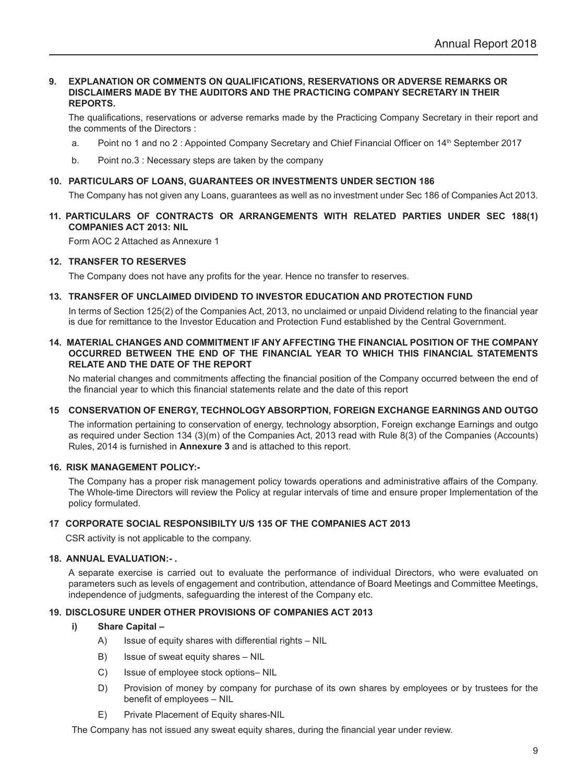### **9. EXPLANATION OR COMMENTS ON QUALIFICATIONS, RESERVATIONS OR ADVERSE REMARKS OR DISCLAIMERS MADE BY THE AUDITORS AND THE PRACTICING COMPANY SECRETARY IN THEIR REPORTS.**

The qualifications, reservations or adverse remarks made by the Practicing Company Secretary in their report and the comments of the Directors :

- a. Point no 1 and no 2 : Appointed Company Secretary and Chief Financial Officer on 14<sup>th</sup> September 2017
- b. Point no.3 : Necessary steps are taken by the company

### **10. PARTICULARS OF LOANS, GUARANTEES OR INVESTMENTS UNDER SECTION 186**

The Company has not given any Loans, guarantees as well as no investment under Sec 186 of Companies Act 2013.

## **11. PARTICULARS OF CONTRACTS OR ARRANGEMENTS WITH RELATED PARTIES UNDER SEC 188(1) COMPANIES ACT 2013: NIL**

Form AOC 2 Attached as Annexure 1

### **12. TRANSFER TO RESERVES**

The Company does not have any profits for the year. Hence no transfer to reserves.

# **13. TRANSFER OF UNCLAIMED DIVIDEND TO INVESTOR EDUCATION AND PROTECTION FUND**

In terms of Section 125(2) of the Companies Act, 2013, no unclaimed or unpaid Dividend relating to the financial year is due for remittance to the Investor Education and Protection Fund established by the Central Government.

### **14. MATERIAL CHANGES AND COMMITMENT IF ANY AFFECTING THE FINANCIAL POSITION OF THE COMPANY OCCURRED BETWEEN THE END OF THE FINANCIAL YEAR TO WHICH THIS FINANCIAL STATEMENTS RELATE AND THE DATE OF THE REPORT**

No material changes and commitments affecting the financial position of the Company occurred between the end of the financial year to which this financial statements relate and the date of this report

# **15 CONSERVATION OF ENERGY, TECHNOLOGY ABSORPTION, FOREIGN EXCHANGE EARNINGS AND OUTGO**

The information pertaining to conservation of energy, technology absorption, Foreign exchange Earnings and outgo as required under Section 134 (3)(m) of the Companies Act, 2013 read with Rule 8(3) of the Companies (Accounts) Rules, 2014 is furnished in **Annexure 3** and is attached to this report.

# **16. RISK MANAGEMENT POLICY:-**

The Company has a proper risk management policy towards operations and administrative affairs of the Company. The Whole-time Directors will review the Policy at regular intervals of time and ensure proper Implementation of the policy formulated.

## **17 CORPORATE SOCIAL RESPONSIBILTY U/S 135 OF THE COMPANIES ACT 2013**

CSR activity is not applicable to the company.

### **18. ANNUAL EVALUATION:- .**

A separate exercise is carried out to evaluate the performance of individual Directors, who were evaluated on parameters such as levels of engagement and contribution, attendance of Board Meetings and Committee Meetings, independence of judgments, safeguarding the interest of the Company etc.

# **19. DISCLOSURE UNDER OTHER PROVISIONS OF COMPANIES ACT 2013**

### **i) Share Capital –**

- A) Issue of equity shares with differential rights NIL
- B) Issue of sweat equity shares NIL
- C) Issue of employee stock options– NIL
- D) Provision of money by company for purchase of its own shares by employees or by trustees for the benefit of employees – NIL
- E) Private Placement of Equity shares-NIL

The Company has not issued any sweat equity shares, during the financial year under review.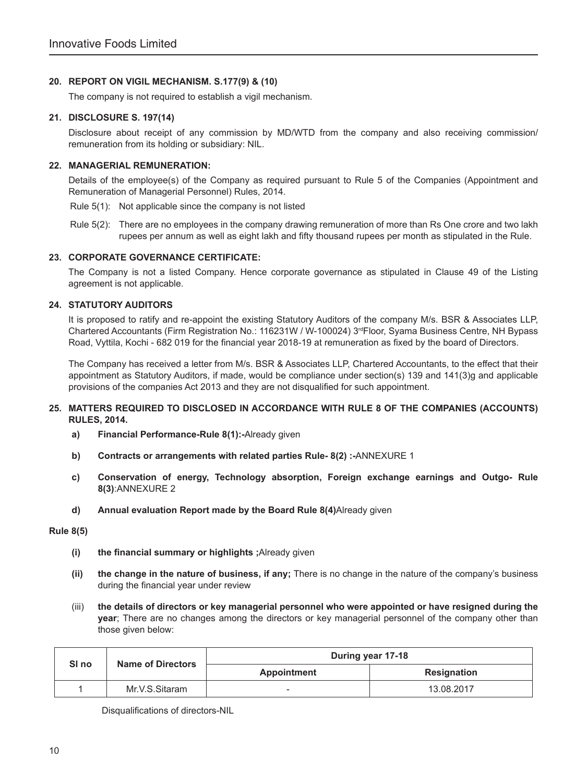# **20. REPORT ON VIGIL MECHANISM. S.177(9) & (10)**

The company is not required to establish a vigil mechanism.

## **21. DISCLOSURE S. 197(14)**

Disclosure about receipt of any commission by MD/WTD from the company and also receiving commission/ remuneration from its holding or subsidiary: NIL.

# **22. MANAGERIAL REMUNERATION:**

Details of the employee(s) of the Company as required pursuant to Rule 5 of the Companies (Appointment and Remuneration of Managerial Personnel) Rules, 2014.

- Rule 5(1): Not applicable since the company is not listed
- Rule 5(2): There are no employees in the company drawing remuneration of more than Rs One crore and two lakh rupees per annum as well as eight lakh and fifty thousand rupees per month as stipulated in the Rule.

# **23. CORPORATE GOVERNANCE CERTIFICATE:**

The Company is not a listed Company. Hence corporate governance as stipulated in Clause 49 of the Listing agreement is not applicable.

### **24. STATUTORY AUDITORS**

It is proposed to ratify and re-appoint the existing Statutory Auditors of the company M/s. BSR & Associates LLP, Chartered Accountants (Firm Registration No.: 116231W / W-100024) 3<sup>rd</sup>Floor, Syama Business Centre, NH Bypass Road, Vyttila, Kochi - 682 019 for the financial year 2018-19 at remuneration as fixed by the board of Directors.

The Company has received a letter from M/s. BSR & Associates LLP, Chartered Accountants, to the effect that their appointment as Statutory Auditors, if made, would be compliance under section(s) 139 and 141(3)g and applicable provisions of the companies Act 2013 and they are not disqualified for such appointment.

# **25. MATTERS REQUIRED TO DISCLOSED IN ACCORDANCE WITH RULE 8 OF THE COMPANIES (ACCOUNTS) RULES, 2014.**

- **a) Financial Performance-Rule 8(1):-**Already given
- **b) Contracts or arrangements with related parties Rule- 8(2) :-**ANNEXURE 1
- **c) Conservation of energy, Technology absorption, Foreign exchange earnings and Outgo- Rule 8(3)**:ANNEXURE 2
- **d) Annual evaluation Report made by the Board Rule 8(4)**Already given

### **Rule 8(5)**

- **(i) the financial summary or highlights ;**Already given
- **(ii) the change in the nature of business, if any;** There is no change in the nature of the company's business during the financial year under review
- (iii) **the details of directors or key managerial personnel who were appointed or have resigned during the year**; There are no changes among the directors or key managerial personnel of the company other than those given below:

| SI no | <b>Name of Directors</b> |                          | During year 17-18 |
|-------|--------------------------|--------------------------|-------------------|
|       |                          | Appointment              | Resignation       |
|       | Mr.V.S.Sitaram           | $\overline{\phantom{0}}$ | 13.08.2017        |

Disqualifications of directors-NIL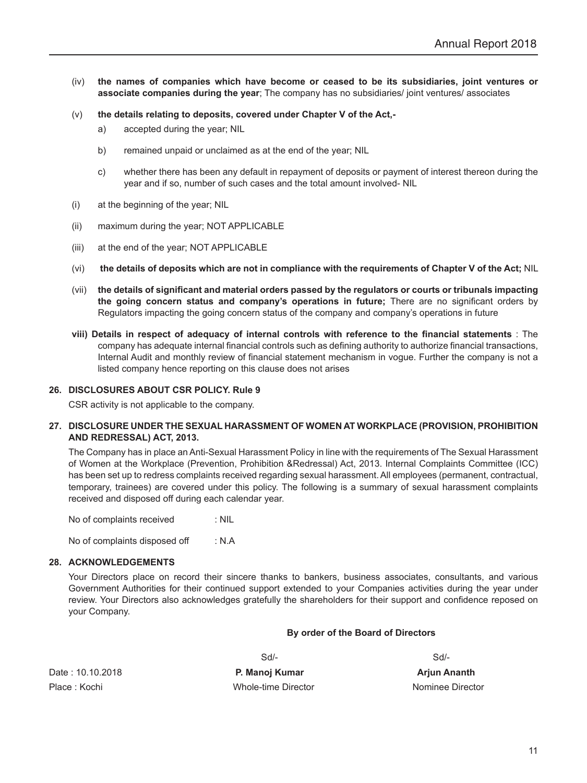- (iv) **the names of companies which have become or ceased to be its subsidiaries, joint ventures or associate companies during the year**; The company has no subsidiaries/ joint ventures/ associates
- (v) **the details relating to deposits, covered under Chapter V of the Act,**
	- a) accepted during the year; NIL
	- b) remained unpaid or unclaimed as at the end of the year; NIL
	- c) whether there has been any default in repayment of deposits or payment of interest thereon during the year and if so, number of such cases and the total amount involved- NIL
- (i) at the beginning of the year; NIL
- (ii) maximum during the year; NOT APPLICABLE
- (iii) at the end of the year; NOT APPLICABLE
- (vi) **the details of deposits which are not in compliance with the requirements of Chapter V of the Act;** NIL
- (vii) **the details of significant and material orders passed by the regulators or courts or tribunals impacting the going concern status and company's operations in future;** There are no significant orders by Regulators impacting the going concern status of the company and company's operations in future
- **viii) Details in respect of adequacy of internal controls with reference to the financial statements** : The company has adequate internal financial controls such as defining authority to authorize financial transactions, Internal Audit and monthly review of financial statement mechanism in vogue. Further the company is not a listed company hence reporting on this clause does not arises

### **26. DISCLOSURES ABOUT CSR POLICY. Rule 9**

CSR activity is not applicable to the company.

### **27. DISCLOSURE UNDER THE SEXUAL HARASSMENT OF WOMEN AT WORKPLACE (PROVISION, PROHIBITION AND REDRESSAL) ACT, 2013.**

The Company has in place an Anti-Sexual Harassment Policy in line with the requirements of The Sexual Harassment of Women at the Workplace (Prevention, Prohibition &Redressal) Act, 2013. Internal Complaints Committee (ICC) has been set up to redress complaints received regarding sexual harassment. All employees (permanent, contractual, temporary, trainees) are covered under this policy. The following is a summary of sexual harassment complaints received and disposed off during each calendar year.

No of complaints received : NIL

No of complaints disposed off : N.A

# **28. ACKNOWLEDGEMENTS**

Your Directors place on record their sincere thanks to bankers, business associates, consultants, and various Government Authorities for their continued support extended to your Companies activities during the year under review. Your Directors also acknowledges gratefully the shareholders for their support and confidence reposed on your Company.

### **By order of the Board of Directors**

|                  | Sd/-                | $Sd$ -              |
|------------------|---------------------|---------------------|
| Date: 10.10.2018 | P. Manoj Kumar      | <b>Arjun Ananth</b> |
| Place : Kochi    | Whole-time Director | Nominee Director    |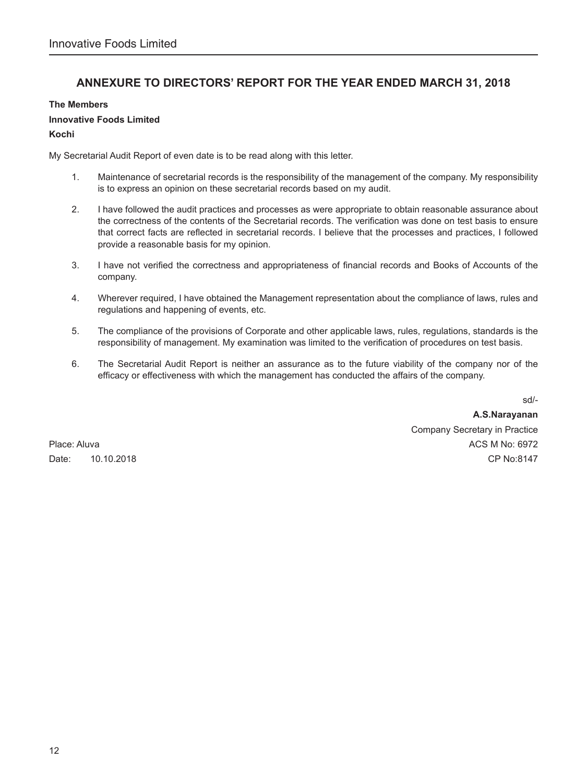# **ANNEXURE TO DIRECTORS' REPORT FOR THE YEAR ENDED MARCH 31, 2018**

**The Members Innovative Foods Limited Kochi**

My Secretarial Audit Report of even date is to be read along with this letter.

- 1. Maintenance of secretarial records is the responsibility of the management of the company. My responsibility is to express an opinion on these secretarial records based on my audit.
- 2. I have followed the audit practices and processes as were appropriate to obtain reasonable assurance about the correctness of the contents of the Secretarial records. The verification was done on test basis to ensure that correct facts are reflected in secretarial records. I believe that the processes and practices, I followed provide a reasonable basis for my opinion.
- 3. I have not verified the correctness and appropriateness of financial records and Books of Accounts of the company.
- 4. Wherever required, I have obtained the Management representation about the compliance of laws, rules and regulations and happening of events, etc.
- 5. The compliance of the provisions of Corporate and other applicable laws, rules, regulations, standards is the responsibility of management. My examination was limited to the verification of procedures on test basis.
- 6. The Secretarial Audit Report is neither an assurance as to the future viability of the company nor of the efficacy or effectiveness with which the management has conducted the affairs of the company.

sd/-

**A.S.Narayanan** Company Secretary in Practice Place: Aluva ACS M No: 6972 Date: 10.10.2018 CP No:8147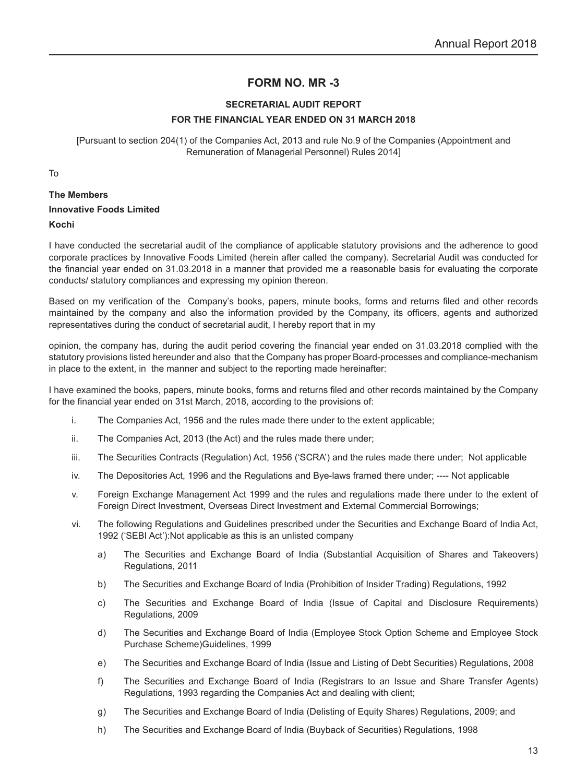# **FORM NO. MR -3**

# **SECRETARIAL AUDIT REPORT FOR THE FINANCIAL YEAR ENDED ON 31 MARCH 2018**

[Pursuant to section 204(1) of the Companies Act, 2013 and rule No.9 of the Companies (Appointment and Remuneration of Managerial Personnel) Rules 2014]

To

# **The Members Innovative Foods Limited Kochi**

I have conducted the secretarial audit of the compliance of applicable statutory provisions and the adherence to good corporate practices by Innovative Foods Limited (herein after called the company). Secretarial Audit was conducted for the financial year ended on 31.03.2018 in a manner that provided me a reasonable basis for evaluating the corporate conducts/ statutory compliances and expressing my opinion thereon.

Based on my verification of the Company's books, papers, minute books, forms and returns filed and other records maintained by the company and also the information provided by the Company, its officers, agents and authorized representatives during the conduct of secretarial audit, I hereby report that in my

opinion, the company has, during the audit period covering the financial year ended on 31.03.2018 complied with the statutory provisions listed hereunder and also that the Company has proper Board-processes and compliance-mechanism in place to the extent, in the manner and subject to the reporting made hereinafter:

I have examined the books, papers, minute books, forms and returns filed and other records maintained by the Company for the financial year ended on 31st March, 2018, according to the provisions of:

- i. The Companies Act, 1956 and the rules made there under to the extent applicable;
- ii. The Companies Act, 2013 (the Act) and the rules made there under;
- iii. The Securities Contracts (Regulation) Act, 1956 ('SCRA') and the rules made there under; Not applicable
- iv. The Depositories Act, 1996 and the Regulations and Bye-laws framed there under; ---- Not applicable
- v. Foreign Exchange Management Act 1999 and the rules and regulations made there under to the extent of Foreign Direct Investment, Overseas Direct Investment and External Commercial Borrowings;
- vi. The following Regulations and Guidelines prescribed under the Securities and Exchange Board of India Act, 1992 ('SEBI Act'):Not applicable as this is an unlisted company
	- a) The Securities and Exchange Board of India (Substantial Acquisition of Shares and Takeovers) Regulations, 2011
	- b) The Securities and Exchange Board of India (Prohibition of Insider Trading) Regulations, 1992
	- c) The Securities and Exchange Board of India (Issue of Capital and Disclosure Requirements) Regulations, 2009
	- d) The Securities and Exchange Board of India (Employee Stock Option Scheme and Employee Stock Purchase Scheme)Guidelines, 1999
	- e) The Securities and Exchange Board of India (Issue and Listing of Debt Securities) Regulations, 2008
	- f) The Securities and Exchange Board of India (Registrars to an Issue and Share Transfer Agents) Regulations, 1993 regarding the Companies Act and dealing with client;
	- g) The Securities and Exchange Board of India (Delisting of Equity Shares) Regulations, 2009; and
	- h) The Securities and Exchange Board of India (Buyback of Securities) Regulations, 1998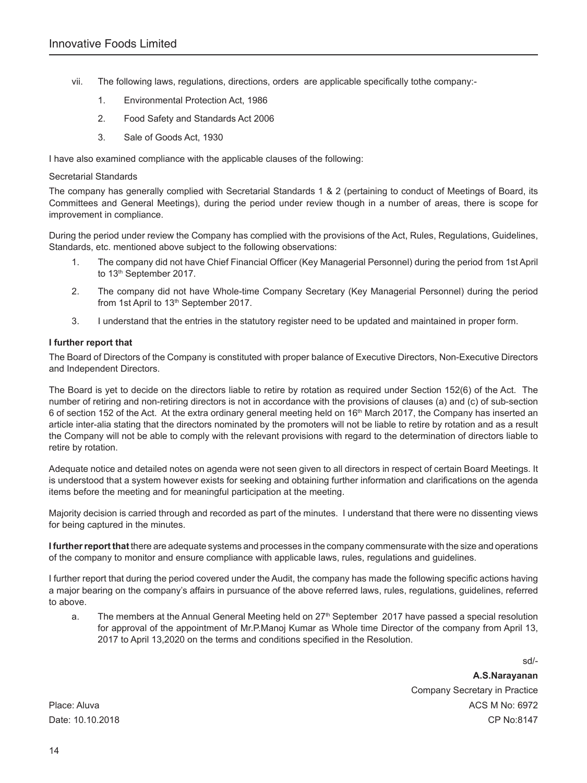- vii. The following laws, regulations, directions, orders are applicable specifically tothe company:-
	- 1. Environmental Protection Act, 1986
	- 2. Food Safety and Standards Act 2006
	- 3. Sale of Goods Act, 1930

I have also examined compliance with the applicable clauses of the following:

# Secretarial Standards

The company has generally complied with Secretarial Standards 1 & 2 (pertaining to conduct of Meetings of Board, its Committees and General Meetings), during the period under review though in a number of areas, there is scope for improvement in compliance.

During the period under review the Company has complied with the provisions of the Act, Rules, Regulations, Guidelines, Standards, etc. mentioned above subject to the following observations:

- 1. The company did not have Chief Financial Officer (Key Managerial Personnel) during the period from 1st April to 13<sup>th</sup> September 2017.
- 2. The company did not have Whole-time Company Secretary (Key Managerial Personnel) during the period from 1st April to 13<sup>th</sup> September 2017.
- 3. I understand that the entries in the statutory register need to be updated and maintained in proper form.

# **I further report that**

The Board of Directors of the Company is constituted with proper balance of Executive Directors, Non-Executive Directors and Independent Directors.

The Board is yet to decide on the directors liable to retire by rotation as required under Section 152(6) of the Act. The number of retiring and non-retiring directors is not in accordance with the provisions of clauses (a) and (c) of sub-section 6 of section 152 of the Act. At the extra ordinary general meeting held on 16<sup>th</sup> March 2017, the Company has inserted an article inter-alia stating that the directors nominated by the promoters will not be liable to retire by rotation and as a result the Company will not be able to comply with the relevant provisions with regard to the determination of directors liable to retire by rotation.

Adequate notice and detailed notes on agenda were not seen given to all directors in respect of certain Board Meetings. It is understood that a system however exists for seeking and obtaining further information and clarifications on the agenda items before the meeting and for meaningful participation at the meeting.

Majority decision is carried through and recorded as part of the minutes. I understand that there were no dissenting views for being captured in the minutes.

**I further report that** there are adequate systems and processes in the company commensurate with the size and operations of the company to monitor and ensure compliance with applicable laws, rules, regulations and guidelines.

I further report that during the period covered under the Audit, the company has made the following specific actions having a major bearing on the company's affairs in pursuance of the above referred laws, rules, regulations, guidelines, referred to above.

a. The members at the Annual General Meeting held on 27<sup>th</sup> September 2017 have passed a special resolution for approval of the appointment of Mr.P.Manoj Kumar as Whole time Director of the company from April 13, 2017 to April 13,2020 on the terms and conditions specified in the Resolution.

sd/-

**A.S.Narayanan** Company Secretary in Practice Place: Aluva ACS M No: 6972 Date: 10.10.2018 CP No:8147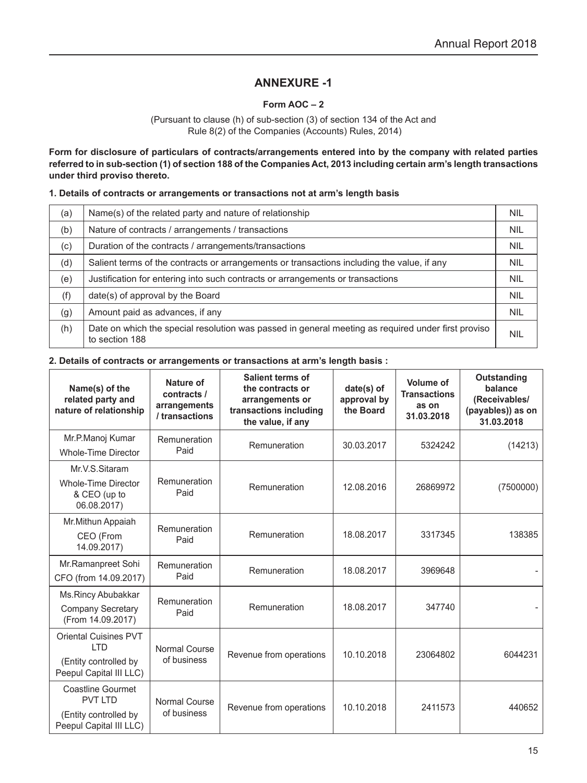# **ANNEXURE -1**

# **Form AOC – 2**

(Pursuant to clause (h) of sub-section (3) of section 134 of the Act and Rule 8(2) of the Companies (Accounts) Rules, 2014)

**Form for disclosure of particulars of contracts/arrangements entered into by the company with related parties referred to in sub-section (1) of section 188 of the Companies Act, 2013 including certain arm's length transactions under third proviso thereto.**

## **1. Details of contracts or arrangements or transactions not at arm's length basis**

| (a) | Name(s) of the related party and nature of relationship                                                              | <b>NIL</b> |
|-----|----------------------------------------------------------------------------------------------------------------------|------------|
| (b) | Nature of contracts / arrangements / transactions                                                                    | <b>NIL</b> |
| (c) | Duration of the contracts / arrangements/transactions                                                                | <b>NIL</b> |
| (d) | Salient terms of the contracts or arrangements or transactions including the value, if any                           | <b>NIL</b> |
| (e) | Justification for entering into such contracts or arrangements or transactions                                       | <b>NIL</b> |
| (f) | date(s) of approval by the Board                                                                                     | <b>NIL</b> |
| (g) | Amount paid as advances, if any                                                                                      | <b>NIL</b> |
| (h) | Date on which the special resolution was passed in general meeting as required under first proviso<br>to section 188 | <b>NIL</b> |

### **2. Details of contracts or arrangements or transactions at arm's length basis :**

| Name(s) of the<br>related party and<br>nature of relationship                                  | Nature of<br>contracts /<br>arrangements<br>/ transactions | Salient terms of<br>the contracts or<br>arrangements or<br>transactions including<br>the value, if any | date(s) of<br>approval by<br>the Board | Volume of<br><b>Transactions</b><br>as on<br>31.03.2018 | Outstanding<br>balance<br>(Receivables/<br>(payables)) as on<br>31.03.2018 |
|------------------------------------------------------------------------------------------------|------------------------------------------------------------|--------------------------------------------------------------------------------------------------------|----------------------------------------|---------------------------------------------------------|----------------------------------------------------------------------------|
| Mr.P.Manoj Kumar<br>Whole-Time Director                                                        | Remuneration<br>Paid                                       | Remuneration                                                                                           | 30.03.2017                             | 5324242                                                 | (14213)                                                                    |
| Mr.V.S.Sitaram<br>Whole-Time Director<br>& CEO (up to<br>06.08.2017)                           | Remuneration<br>Paid                                       | Remuneration                                                                                           | 12.08.2016                             | 26869972                                                | (7500000)                                                                  |
| Mr. Mithun Appaiah<br>CEO (From<br>14.09.2017)                                                 | Remuneration<br>Paid                                       | Remuneration                                                                                           | 18.08.2017                             | 3317345                                                 | 138385                                                                     |
| Mr.Ramanpreet Sohi<br>CFO (from 14.09.2017)                                                    | Remuneration<br>Paid                                       | Remuneration                                                                                           | 18.08.2017                             | 3969648                                                 |                                                                            |
| Ms.Rincy Abubakkar<br>Company Secretary<br>(From 14.09.2017)                                   | Remuneration<br>Paid                                       | Remuneration                                                                                           | 18.08.2017                             | 347740                                                  |                                                                            |
| <b>Oriental Cuisines PVT</b><br><b>LTD</b><br>(Entity controlled by<br>Peepul Capital III LLC) | Normal Course<br>of business                               | Revenue from operations                                                                                | 10.10.2018                             | 23064802                                                | 6044231                                                                    |
| <b>Coastline Gourmet</b><br><b>PVTITD</b><br>(Entity controlled by<br>Peepul Capital III LLC)  | Normal Course<br>of business                               | Revenue from operations                                                                                | 10.10.2018                             | 2411573                                                 | 440652                                                                     |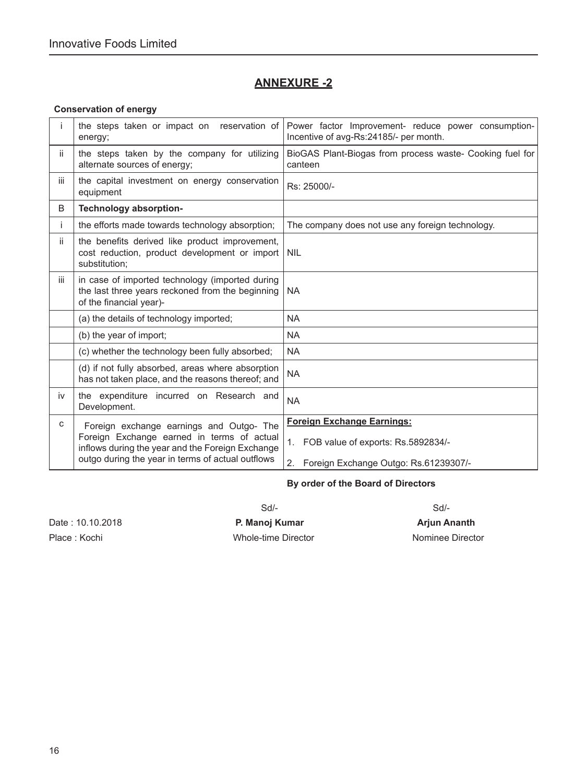# **ANNEXURE -2**

# **Conservation of energy**

| j.  | the steps taken or impact on reservation of<br>energy;                                                                                                                                          | Power factor Improvement- reduce power consumption-<br>Incentive of avg-Rs:24185/- per month.                                |
|-----|-------------------------------------------------------------------------------------------------------------------------------------------------------------------------------------------------|------------------------------------------------------------------------------------------------------------------------------|
| ii. | the steps taken by the company for utilizing<br>alternate sources of energy;                                                                                                                    | BioGAS Plant-Biogas from process waste- Cooking fuel for<br>canteen                                                          |
| iii | the capital investment on energy conservation<br>equipment                                                                                                                                      | Rs: 25000/-                                                                                                                  |
| B   | Technology absorption-                                                                                                                                                                          |                                                                                                                              |
| i.  | the efforts made towards technology absorption;                                                                                                                                                 | The company does not use any foreign technology.                                                                             |
| ii. | the benefits derived like product improvement,<br>cost reduction, product development or import<br>substitution:                                                                                | <b>NIL</b>                                                                                                                   |
| iii | in case of imported technology (imported during<br>the last three years reckoned from the beginning<br>of the financial year)-                                                                  | <b>NA</b>                                                                                                                    |
|     | (a) the details of technology imported;                                                                                                                                                         | <b>NA</b>                                                                                                                    |
|     | (b) the year of import:                                                                                                                                                                         | <b>NA</b>                                                                                                                    |
|     | (c) whether the technology been fully absorbed;                                                                                                                                                 | <b>NA</b>                                                                                                                    |
|     | (d) if not fully absorbed, areas where absorption<br>has not taken place, and the reasons thereof; and                                                                                          | <b>NA</b>                                                                                                                    |
| iv  | the expenditure incurred on Research and<br>Development.                                                                                                                                        | <b>NA</b>                                                                                                                    |
| C   | Foreign exchange earnings and Outgo- The<br>Foreign Exchange earned in terms of actual<br>inflows during the year and the Foreign Exchange<br>outgo during the year in terms of actual outflows | <b>Foreign Exchange Earnings:</b><br>1.<br>FOB value of exports: Rs.5892834/-<br>2.<br>Foreign Exchange Outgo: Rs.61239307/- |

# **By order of the Board of Directors**

Date : 10.10.2018 **P. Manoj Kumar Arjun Ananth** 

Sd/-

Place : Kochi **Whole-time Director** Nominee Director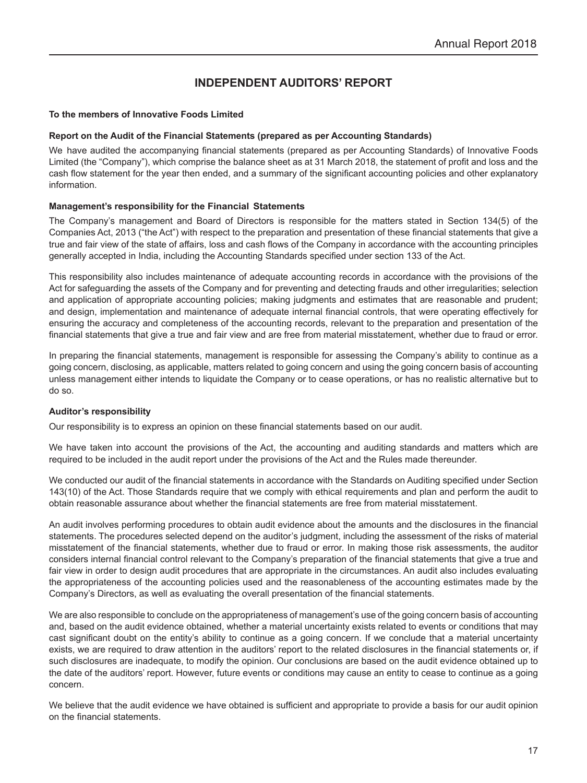# **INDEPENDENT AUDITORS' REPORT**

### **To the members of Innovative Foods Limited**

### **Report on the Audit of the Financial Statements (prepared as per Accounting Standards)**

We have audited the accompanying financial statements (prepared as per Accounting Standards) of Innovative Foods Limited (the "Company"), which comprise the balance sheet as at 31 March 2018, the statement of profit and loss and the cash flow statement for the year then ended, and a summary of the significant accounting policies and other explanatory information.

### **Management's responsibility for the Financial Statements**

The Company's management and Board of Directors is responsible for the matters stated in Section 134(5) of the Companies Act, 2013 ("the Act") with respect to the preparation and presentation of these financial statements that give a true and fair view of the state of affairs, loss and cash flows of the Company in accordance with the accounting principles generally accepted in India, including the Accounting Standards specified under section 133 of the Act.

This responsibility also includes maintenance of adequate accounting records in accordance with the provisions of the Act for safeguarding the assets of the Company and for preventing and detecting frauds and other irregularities; selection and application of appropriate accounting policies; making judgments and estimates that are reasonable and prudent; and design, implementation and maintenance of adequate internal financial controls, that were operating effectively for ensuring the accuracy and completeness of the accounting records, relevant to the preparation and presentation of the financial statements that give a true and fair view and are free from material misstatement, whether due to fraud or error.

In preparing the financial statements, management is responsible for assessing the Company's ability to continue as a going concern, disclosing, as applicable, matters related to going concern and using the going concern basis of accounting unless management either intends to liquidate the Company or to cease operations, or has no realistic alternative but to do so.

### **Auditor's responsibility**

Our responsibility is to express an opinion on these financial statements based on our audit.

We have taken into account the provisions of the Act, the accounting and auditing standards and matters which are required to be included in the audit report under the provisions of the Act and the Rules made thereunder.

We conducted our audit of the financial statements in accordance with the Standards on Auditing specified under Section 143(10) of the Act. Those Standards require that we comply with ethical requirements and plan and perform the audit to obtain reasonable assurance about whether the financial statements are free from material misstatement.

An audit involves performing procedures to obtain audit evidence about the amounts and the disclosures in the financial statements. The procedures selected depend on the auditor's judgment, including the assessment of the risks of material misstatement of the financial statements, whether due to fraud or error. In making those risk assessments, the auditor considers internal financial control relevant to the Company's preparation of the financial statements that give a true and fair view in order to design audit procedures that are appropriate in the circumstances. An audit also includes evaluating the appropriateness of the accounting policies used and the reasonableness of the accounting estimates made by the Company's Directors, as well as evaluating the overall presentation of the financial statements.

We are also responsible to conclude on the appropriateness of management's use of the going concern basis of accounting and, based on the audit evidence obtained, whether a material uncertainty exists related to events or conditions that may cast significant doubt on the entity's ability to continue as a going concern. If we conclude that a material uncertainty exists, we are required to draw attention in the auditors' report to the related disclosures in the financial statements or, if such disclosures are inadequate, to modify the opinion. Our conclusions are based on the audit evidence obtained up to the date of the auditors' report. However, future events or conditions may cause an entity to cease to continue as a going concern.

We believe that the audit evidence we have obtained is sufficient and appropriate to provide a basis for our audit opinion on the financial statements.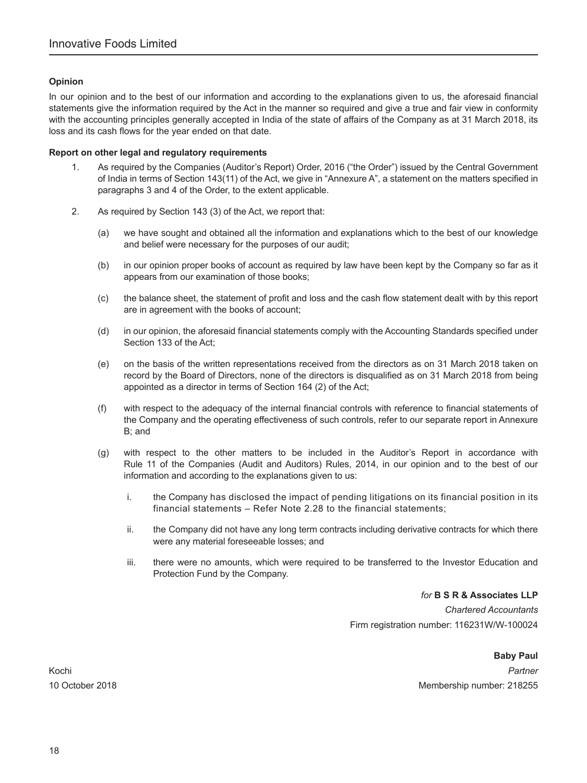# **Opinion**

In our opinion and to the best of our information and according to the explanations given to us, the aforesaid financial statements give the information required by the Act in the manner so required and give a true and fair view in conformity with the accounting principles generally accepted in India of the state of affairs of the Company as at 31 March 2018, its loss and its cash flows for the year ended on that date.

### **Report on other legal and regulatory requirements**

- 1. As required by the Companies (Auditor's Report) Order, 2016 ("the Order") issued by the Central Government of India in terms of Section 143(11) of the Act, we give in "Annexure A", a statement on the matters specified in paragraphs 3 and 4 of the Order, to the extent applicable.
- 2. As required by Section 143 (3) of the Act, we report that:
	- (a) we have sought and obtained all the information and explanations which to the best of our knowledge and belief were necessary for the purposes of our audit;
	- (b) in our opinion proper books of account as required by law have been kept by the Company so far as it appears from our examination of those books;
	- (c) the balance sheet, the statement of profit and loss and the cash flow statement dealt with by this report are in agreement with the books of account;
	- (d) in our opinion, the aforesaid financial statements comply with the Accounting Standards specified under Section 133 of the Act;
	- (e) on the basis of the written representations received from the directors as on 31 March 2018 taken on record by the Board of Directors, none of the directors is disqualified as on 31 March 2018 from being appointed as a director in terms of Section 164 (2) of the Act;
	- (f) with respect to the adequacy of the internal financial controls with reference to financial statements of the Company and the operating effectiveness of such controls, refer to our separate report in Annexure B; and
	- (g) with respect to the other matters to be included in the Auditor's Report in accordance with Rule 11 of the Companies (Audit and Auditors) Rules, 2014, in our opinion and to the best of our information and according to the explanations given to us:
		- i. the Company has disclosed the impact of pending litigations on its financial position in its financial statements – Refer Note 2.28 to the financial statements;
		- ii. the Company did not have any long term contracts including derivative contracts for which there were any material foreseeable losses; and
		- iii. there were no amounts, which were required to be transferred to the Investor Education and Protection Fund by the Company.

# *for* **B S R & Associates LLP**

*Chartered Accountants* Firm registration number: 116231W/W-100024

# **Baby Paul**

Kochi *Partner* 10 October 2018 Membership number: 218255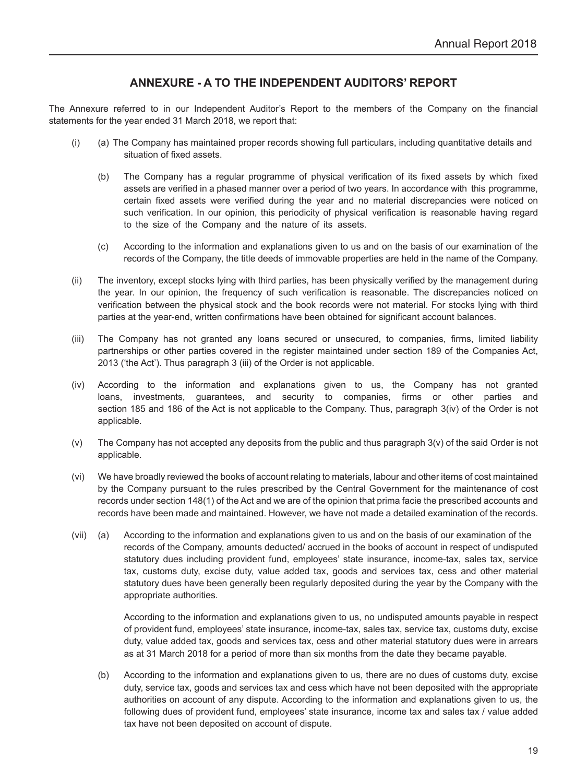# **ANNEXURE - A TO THE INDEPENDENT AUDITORS' REPORT**

The Annexure referred to in our Independent Auditor's Report to the members of the Company on the financial statements for the year ended 31 March 2018, we report that:

- (i) (a) The Company has maintained proper records showing full particulars, including quantitative details and situation of fixed assets.
	- (b) The Company has a regular programme of physical verification of its fixed assets by which fixed assets are verified in a phased manner over a period of two years. In accordance with this programme, certain fixed assets were verified during the year and no material discrepancies were noticed on such verification. In our opinion, this periodicity of physical verification is reasonable having regard to the size of the Company and the nature of its assets.
	- (c) According to the information and explanations given to us and on the basis of our examination of the records of the Company, the title deeds of immovable properties are held in the name of the Company.
- (ii) The inventory, except stocks lying with third parties, has been physically verified by the management during the year. In our opinion, the frequency of such verification is reasonable. The discrepancies noticed on verification between the physical stock and the book records were not material. For stocks lying with third parties at the year-end, written confirmations have been obtained for significant account balances.
- (iii) The Company has not granted any loans secured or unsecured, to companies, firms, limited liability partnerships or other parties covered in the register maintained under section 189 of the Companies Act, 2013 ('the Act'). Thus paragraph 3 (iii) of the Order is not applicable.
- (iv) According to the information and explanations given to us, the Company has not granted loans, investments, guarantees, and security to companies, firms or other parties and section 185 and 186 of the Act is not applicable to the Company. Thus, paragraph 3(iv) of the Order is not applicable.
- (v) The Company has not accepted any deposits from the public and thus paragraph 3(v) of the said Order is not applicable.
- (vi) We have broadly reviewed the books of account relating to materials, labour and other items of cost maintained by the Company pursuant to the rules prescribed by the Central Government for the maintenance of cost records under section 148(1) of the Act and we are of the opinion that prima facie the prescribed accounts and records have been made and maintained. However, we have not made a detailed examination of the records.
- (vii) (a) According to the information and explanations given to us and on the basis of our examination of the records of the Company, amounts deducted/ accrued in the books of account in respect of undisputed statutory dues including provident fund, employees' state insurance, income-tax, sales tax, service tax, customs duty, excise duty, value added tax, goods and services tax, cess and other material statutory dues have been generally been regularly deposited during the year by the Company with the appropriate authorities.

According to the information and explanations given to us, no undisputed amounts payable in respect of provident fund, employees' state insurance, income-tax, sales tax, service tax, customs duty, excise duty, value added tax, goods and services tax, cess and other material statutory dues were in arrears as at 31 March 2018 for a period of more than six months from the date they became payable.

(b) According to the information and explanations given to us, there are no dues of customs duty, excise duty, service tax, goods and services tax and cess which have not been deposited with the appropriate authorities on account of any dispute. According to the information and explanations given to us, the following dues of provident fund, employees' state insurance, income tax and sales tax / value added tax have not been deposited on account of dispute.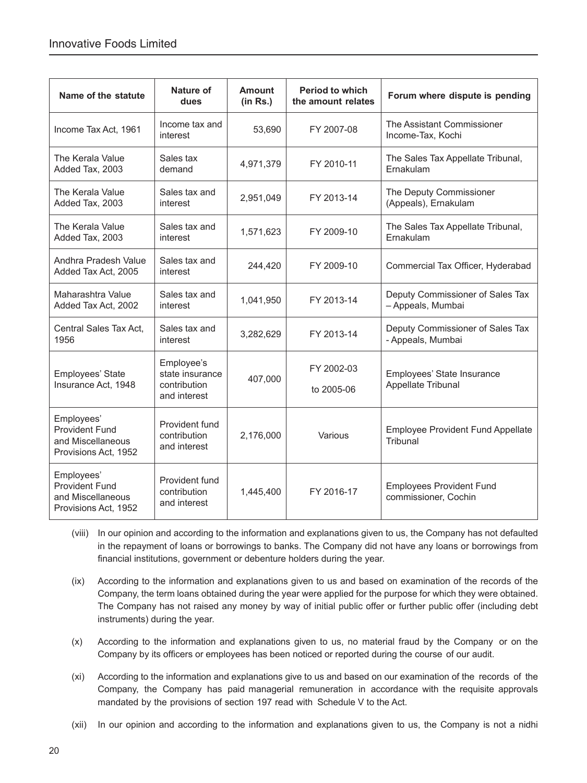| Name of the statute                                                              | Nature of<br>dues                                             | <b>Amount</b><br>(in Rs.) | Period to which<br>the amount relates | Forum where dispute is pending                          |
|----------------------------------------------------------------------------------|---------------------------------------------------------------|---------------------------|---------------------------------------|---------------------------------------------------------|
| Income Tax Act, 1961                                                             | Income tax and<br>interest                                    | 53,690                    | FY 2007-08                            | The Assistant Commissioner<br>Income-Tax, Kochi         |
| The Kerala Value<br>Added Tax, 2003                                              | Sales tax<br>demand                                           | 4,971,379                 | FY 2010-11                            | The Sales Tax Appellate Tribunal,<br>Ernakulam          |
| The Kerala Value<br>Added Tax, 2003                                              | Sales tax and<br>interest                                     | 2,951,049                 | FY 2013-14                            | The Deputy Commissioner<br>(Appeals), Ernakulam         |
| The Kerala Value<br>Added Tax, 2003                                              | Sales tax and<br>interest                                     | 1,571,623                 | FY 2009-10                            | The Sales Tax Appellate Tribunal,<br>Ernakulam          |
| Andhra Pradesh Value<br>Added Tax Act, 2005                                      | Sales tax and<br>interest                                     | 244,420                   | FY 2009-10                            | Commercial Tax Officer, Hyderabad                       |
| Maharashtra Value<br>Added Tax Act, 2002                                         | Sales tax and<br>interest                                     | 1,041,950                 | FY 2013-14                            | Deputy Commissioner of Sales Tax<br>- Appeals, Mumbai   |
| Central Sales Tax Act.<br>1956                                                   | Sales tax and<br>interest                                     | 3,282,629                 | FY 2013-14                            | Deputy Commissioner of Sales Tax<br>- Appeals, Mumbai   |
| Employees' State<br>Insurance Act, 1948                                          | Employee's<br>state insurance<br>contribution<br>and interest | 407,000                   | FY 2002-03<br>to 2005-06              | Employees' State Insurance<br>Appellate Tribunal        |
| Employees'<br><b>Provident Fund</b><br>and Miscellaneous<br>Provisions Act, 1952 | Provident fund<br>contribution<br>and interest                | 2,176,000                 | Various                               | <b>Employee Provident Fund Appellate</b><br>Tribunal    |
| Employees'<br><b>Provident Fund</b><br>and Miscellaneous<br>Provisions Act, 1952 | Provident fund<br>contribution<br>and interest                | 1,445,400                 | FY 2016-17                            | <b>Employees Provident Fund</b><br>commissioner, Cochin |

- (viii) In our opinion and according to the information and explanations given to us, the Company has not defaulted in the repayment of loans or borrowings to banks. The Company did not have any loans or borrowings from financial institutions, government or debenture holders during the year.
- (ix) According to the information and explanations given to us and based on examination of the records of the Company, the term loans obtained during the year were applied for the purpose for which they were obtained. The Company has not raised any money by way of initial public offer or further public offer (including debt instruments) during the year.
- (x) According to the information and explanations given to us, no material fraud by the Company or on the Company by its officers or employees has been noticed or reported during the course of our audit.
- (xi) According to the information and explanations give to us and based on our examination of the records of the Company, the Company has paid managerial remuneration in accordance with the requisite approvals mandated by the provisions of section 197 read with Schedule V to the Act.
- (xii) In our opinion and according to the information and explanations given to us, the Company is not a nidhi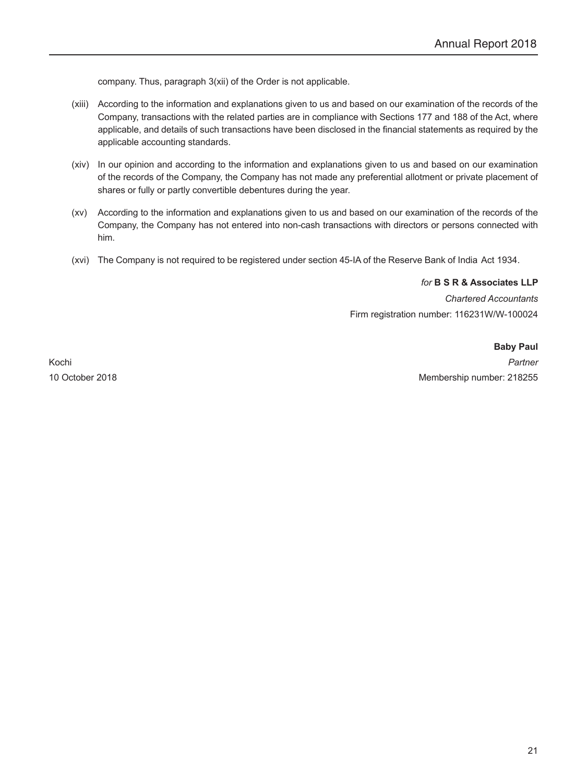company. Thus, paragraph 3(xii) of the Order is not applicable.

- (xiii) According to the information and explanations given to us and based on our examination of the records of the Company, transactions with the related parties are in compliance with Sections 177 and 188 of the Act, where applicable, and details of such transactions have been disclosed in the financial statements as required by the applicable accounting standards.
- (xiv) In our opinion and according to the information and explanations given to us and based on our examination of the records of the Company, the Company has not made any preferential allotment or private placement of shares or fully or partly convertible debentures during the year.
- (xv) According to the information and explanations given to us and based on our examination of the records of the Company, the Company has not entered into non-cash transactions with directors or persons connected with him.
- (xvi) The Company is not required to be registered under section 45-IA of the Reserve Bank of India Act 1934.

### *for* **B S R & Associates LLP**

*Chartered Accountants* Firm registration number: 116231W/W-100024

### **Baby Paul**

Kochi *Partner* 10 October 2018 Membership number: 218255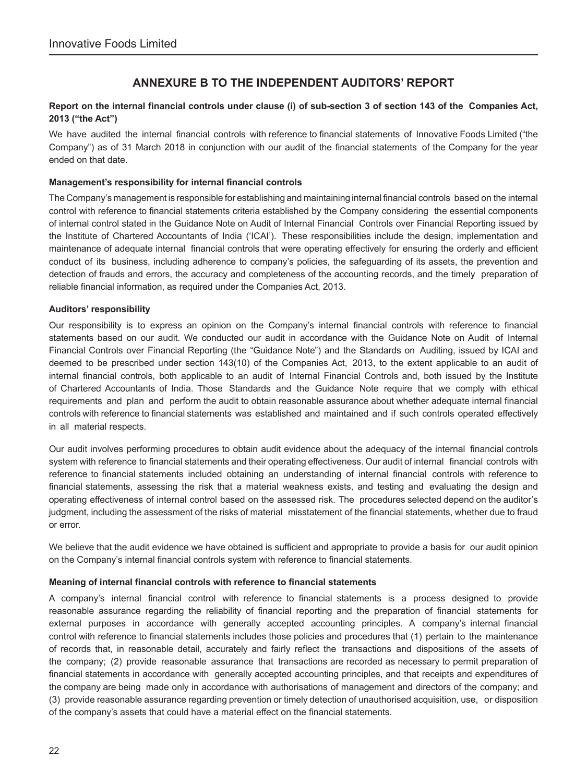# **ANNEXURE B TO THE INDEPENDENT AUDITORS' REPORT**

# **Report on the internal financial controls under clause (i) of sub-section 3 of section 143 of the Companies Act, 2013 ("the Act")**

We have audited the internal financial controls with reference to financial statements of Innovative Foods Limited ("the Company") as of 31 March 2018 in conjunction with our audit of the financial statements of the Company for the year ended on that date.

# **Management's responsibility for internal financial controls**

The Company's management is responsible for establishing and maintaining internal financial controls based on the internal control with reference to financial statements criteria established by the Company considering the essential components of internal control stated in the Guidance Note on Audit of Internal Financial Controls over Financial Reporting issued by the Institute of Chartered Accountants of India ('ICAI'). These responsibilities include the design, implementation and maintenance of adequate internal financial controls that were operating effectively for ensuring the orderly and efficient conduct of its business, including adherence to company's policies, the safeguarding of its assets, the prevention and detection of frauds and errors, the accuracy and completeness of the accounting records, and the timely preparation of reliable financial information, as required under the Companies Act, 2013.

# **Auditors' responsibility**

Our responsibility is to express an opinion on the Company's internal financial controls with reference to financial statements based on our audit. We conducted our audit in accordance with the Guidance Note on Audit of Internal Financial Controls over Financial Reporting (the "Guidance Note") and the Standards on Auditing, issued by ICAI and deemed to be prescribed under section 143(10) of the Companies Act, 2013, to the extent applicable to an audit of internal financial controls, both applicable to an audit of Internal Financial Controls and, both issued by the Institute of Chartered Accountants of India. Those Standards and the Guidance Note require that we comply with ethical requirements and plan and perform the audit to obtain reasonable assurance about whether adequate internal financial controls with reference to financial statements was established and maintained and if such controls operated effectively in all material respects.

Our audit involves performing procedures to obtain audit evidence about the adequacy of the internal financial controls system with reference to financial statements and their operating effectiveness. Our audit of internal financial controls with reference to financial statements included obtaining an understanding of internal financial controls with reference to financial statements, assessing the risk that a material weakness exists, and testing and evaluating the design and operating effectiveness of internal control based on the assessed risk. The procedures selected depend on the auditor's judgment, including the assessment of the risks of material misstatement of the financial statements, whether due to fraud or error.

We believe that the audit evidence we have obtained is sufficient and appropriate to provide a basis for our audit opinion on the Company's internal financial controls system with reference to financial statements.

### **Meaning of internal financial controls with reference to financial statements**

A company's internal financial control with reference to financial statements is a process designed to provide reasonable assurance regarding the reliability of financial reporting and the preparation of financial statements for external purposes in accordance with generally accepted accounting principles. A company's internal financial control with reference to financial statements includes those policies and procedures that (1) pertain to the maintenance of records that, in reasonable detail, accurately and fairly reflect the transactions and dispositions of the assets of the company; (2) provide reasonable assurance that transactions are recorded as necessary to permit preparation of financial statements in accordance with generally accepted accounting principles, and that receipts and expenditures of the company are being made only in accordance with authorisations of management and directors of the company; and (3) provide reasonable assurance regarding prevention or timely detection of unauthorised acquisition, use, or disposition of the company's assets that could have a material effect on the financial statements.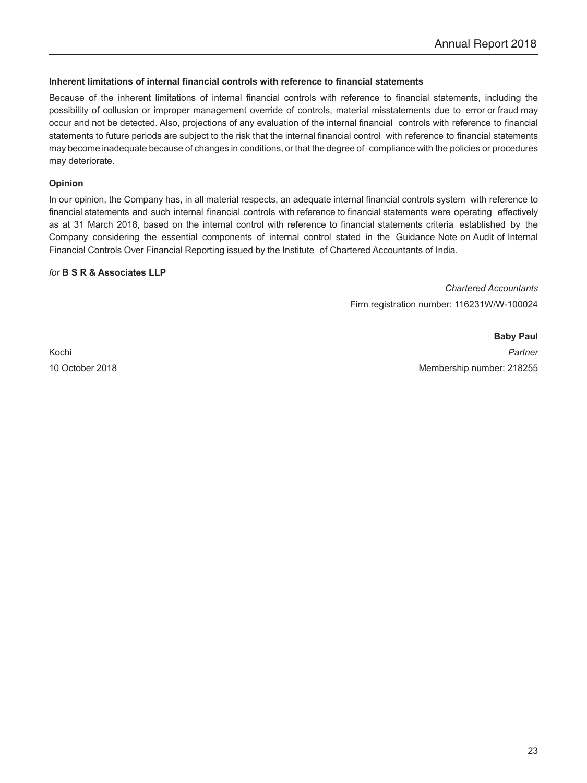# **Inherent limitations of internal financial controls with reference to financial statements**

Because of the inherent limitations of internal financial controls with reference to financial statements, including the possibility of collusion or improper management override of controls, material misstatements due to error or fraud may occur and not be detected. Also, projections of any evaluation of the internal financial controls with reference to financial statements to future periods are subject to the risk that the internal financial control with reference to financial statements may become inadequate because of changes in conditions, or that the degree of compliance with the policies or procedures may deteriorate.

# **Opinion**

In our opinion, the Company has, in all material respects, an adequate internal financial controls system with reference to financial statements and such internal financial controls with reference to financial statements were operating effectively as at 31 March 2018, based on the internal control with reference to financial statements criteria established by the Company considering the essential components of internal control stated in the Guidance Note on Audit of Internal Financial Controls Over Financial Reporting issued by the Institute of Chartered Accountants of India.

## *for* **B S R & Associates LLP**

*Chartered Accountants* Firm registration number: 116231W/W-100024

**Baby Paul** Kochi *Partner* 10 October 2018 Membership number: 218255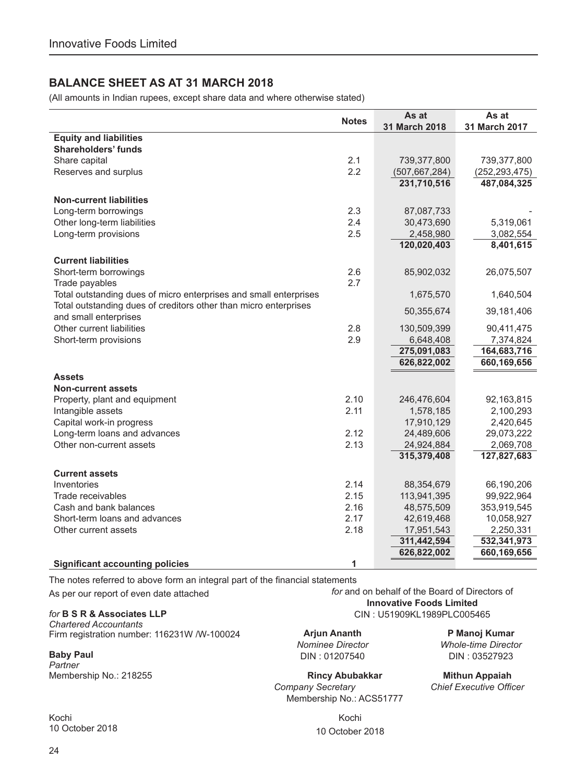# **BALANCE SHEET AS AT 31 MARCH 2018**

(All amounts in Indian rupees, except share data and where otherwise stated)

|                                                                   | <b>Notes</b> | As at           | As at           |
|-------------------------------------------------------------------|--------------|-----------------|-----------------|
|                                                                   |              | 31 March 2018   | 31 March 2017   |
| <b>Equity and liabilities</b>                                     |              |                 |                 |
| <b>Shareholders' funds</b>                                        |              |                 |                 |
| Share capital                                                     | 2.1          | 739,377,800     | 739,377,800     |
| Reserves and surplus                                              | 2.2          | (507, 667, 284) | (252, 293, 475) |
|                                                                   |              | 231,710,516     | 487,084,325     |
|                                                                   |              |                 |                 |
| <b>Non-current liabilities</b>                                    |              |                 |                 |
| Long-term borrowings                                              | 2.3          | 87,087,733      |                 |
| Other long-term liabilities                                       | 2.4          | 30,473,690      | 5,319,061       |
| Long-term provisions                                              | 2.5          | 2,458,980       | 3,082,554       |
|                                                                   |              | 120,020,403     | 8,401,615       |
|                                                                   |              |                 |                 |
| <b>Current liabilities</b>                                        |              |                 |                 |
| Short-term borrowings                                             | 2.6          | 85,902,032      | 26,075,507      |
| Trade payables                                                    | 2.7          |                 |                 |
| Total outstanding dues of micro enterprises and small enterprises |              | 1,675,570       | 1,640,504       |
| Total outstanding dues of creditors other than micro enterprises  |              |                 |                 |
| and small enterprises                                             |              | 50,355,674      | 39,181,406      |
| Other current liabilities                                         | 2.8          | 130,509,399     | 90,411,475      |
| Short-term provisions                                             | 2.9          | 6,648,408       | 7,374,824       |
|                                                                   |              | 275,091,083     | 164,683,716     |
|                                                                   |              | 626,822,002     | 660,169,656     |
|                                                                   |              |                 |                 |
| <b>Assets</b>                                                     |              |                 |                 |
| <b>Non-current assets</b>                                         |              |                 |                 |
| Property, plant and equipment                                     | 2.10         | 246,476,604     | 92,163,815      |
| Intangible assets                                                 | 2.11         | 1,578,185       | 2,100,293       |
| Capital work-in progress                                          |              | 17,910,129      | 2,420,645       |
| Long-term loans and advances                                      | 2.12         | 24,489,606      | 29,073,222      |
| Other non-current assets                                          | 2.13         | 24,924,884      | 2,069,708       |
|                                                                   |              | 315,379,408     | 127,827,683     |
|                                                                   |              |                 |                 |
| <b>Current assets</b>                                             |              |                 |                 |
| Inventories                                                       | 2.14         | 88,354,679      | 66,190,206      |
| Trade receivables                                                 | 2.15         | 113,941,395     | 99,922,964      |
| Cash and bank balances                                            | 2.16         | 48,575,509      | 353,919,545     |
| Short-term loans and advances                                     | 2.17         | 42,619,468      | 10,058,927      |
| Other current assets                                              | 2.18         | 17,951,543      | 2,250,331       |
|                                                                   |              | 311,442,594     | 532, 341, 973   |
|                                                                   |              | 626,822,002     | 660,169,656     |
| <b>Significant accounting policies</b>                            | 1            |                 |                 |

The notes referred to above form an integral part of the financial statements

As per our report of even date attached

*for* **B S R & Associates LLP** *Chartered Accountants* Firm registration number: 116231W /W-100024

**Baby Paul** *Partner* Membership No.: 218255

Kochi 10 October 2018 *for* and on behalf of the Board of Directors of **Innovative Foods Limited** CIN : U51909KL1989PLC005465

**Arjun Ananth** *Nominee Director* DIN : 01207540

**Rincy Abubakkar** *Company Secretary* Membership No.: ACS51777

**P Manoj Kumar** *Whole-time Director* DIN : 03527923

**Mithun Appaiah** *Chief Executive Officer*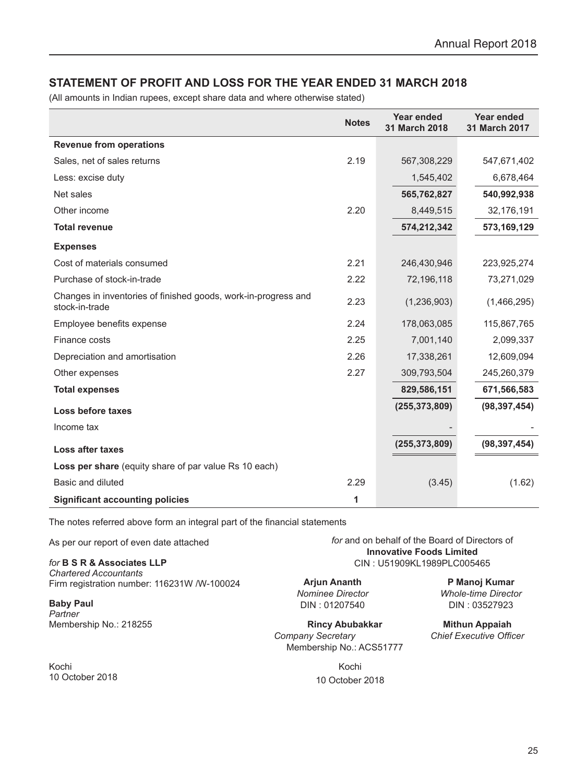# **STATEMENT OF PROFIT AND LOSS FOR THE YEAR ENDED 31 MARCH 2018**

(All amounts in Indian rupees, except share data and where otherwise stated)

|                                                                                  | <b>Notes</b> | Year ended<br>31 March 2018 | Year ended<br>31 March 2017 |
|----------------------------------------------------------------------------------|--------------|-----------------------------|-----------------------------|
| <b>Revenue from operations</b>                                                   |              |                             |                             |
| Sales, net of sales returns                                                      | 2.19         | 567,308,229                 | 547,671,402                 |
| Less: excise duty                                                                |              | 1,545,402                   | 6,678,464                   |
| Net sales                                                                        |              | 565,762,827                 | 540,992,938                 |
| Other income                                                                     | 2.20         | 8,449,515                   | 32,176,191                  |
| <b>Total revenue</b>                                                             |              | 574,212,342                 | 573,169,129                 |
| <b>Expenses</b>                                                                  |              |                             |                             |
| Cost of materials consumed                                                       | 2.21         | 246,430,946                 | 223,925,274                 |
| Purchase of stock-in-trade                                                       | 2.22         | 72,196,118                  | 73,271,029                  |
| Changes in inventories of finished goods, work-in-progress and<br>stock-in-trade | 2.23         | (1,236,903)                 | (1,466,295)                 |
| Employee benefits expense                                                        | 2.24         | 178,063,085                 | 115,867,765                 |
| Finance costs                                                                    | 2.25         | 7,001,140                   | 2,099,337                   |
| Depreciation and amortisation                                                    | 2.26         | 17,338,261                  | 12,609,094                  |
| Other expenses                                                                   | 2.27         | 309,793,504                 | 245,260,379                 |
| <b>Total expenses</b>                                                            |              | 829,586,151                 | 671,566,583                 |
| Loss before taxes                                                                |              | (255, 373, 809)             | (98, 397, 454)              |
| Income tax                                                                       |              |                             |                             |
| Loss after taxes                                                                 |              | (255, 373, 809)             | (98, 397, 454)              |
| <b>Loss per share</b> (equity share of par value Rs 10 each)                     |              |                             |                             |
| Basic and diluted                                                                | 2.29         | (3.45)                      | (1.62)                      |
| <b>Significant accounting policies</b>                                           | 1            |                             |                             |

The notes referred above form an integral part of the financial statements

As per our report of even date attached

### *for* **B S R & Associates LLP** *Chartered Accountants* Firm registration number: 116231W /W-100024

**Baby Paul** *Partner* Membership No.: 218255

Kochi 10 October 2018 *for* and on behalf of the Board of Directors of **Innovative Foods Limited** CIN : U51909KL1989PLC005465

**Arjun Ananth** *Nominee Director* DIN : 01207540

**Rincy Abubakkar** *Company Secretary* Membership No.: ACS51777

**P Manoj Kumar** *Whole-time Director* DIN : 03527923

**Mithun Appaiah** *Chief Executive Officer*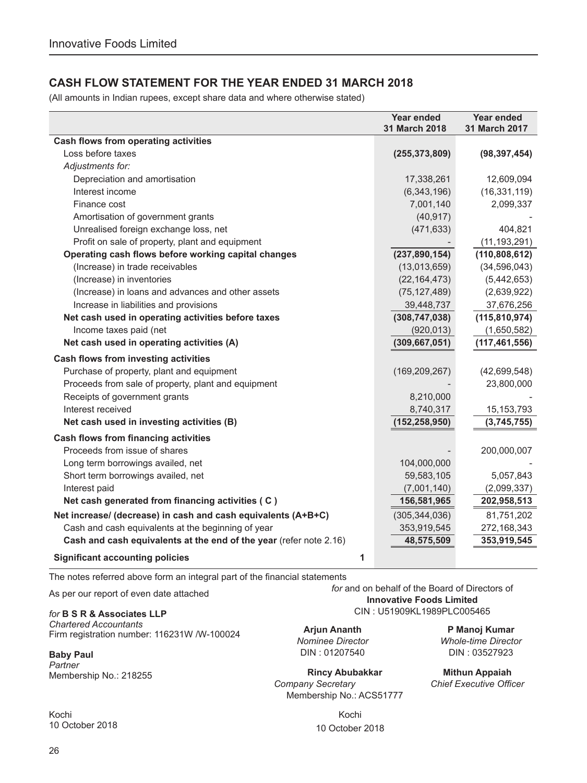# **CASH FLOW STATEMENT FOR THE YEAR ENDED 31 MARCH 2018**

(All amounts in Indian rupees, except share data and where otherwise stated)

|                                                                    | Year ended<br>31 March 2018 | Year ended<br>31 March 2017 |
|--------------------------------------------------------------------|-----------------------------|-----------------------------|
| Cash flows from operating activities                               |                             |                             |
| Loss before taxes                                                  | (255, 373, 809)             | (98, 397, 454)              |
| Adjustments for:                                                   |                             |                             |
| Depreciation and amortisation                                      | 17,338,261                  | 12,609,094                  |
| Interest income                                                    | (6,343,196)                 | (16, 331, 119)              |
| Finance cost                                                       | 7,001,140                   | 2,099,337                   |
| Amortisation of government grants                                  | (40, 917)                   |                             |
| Unrealised foreign exchange loss, net                              | (471, 633)                  | 404,821                     |
| Profit on sale of property, plant and equipment                    |                             | (11, 193, 291)              |
| Operating cash flows before working capital changes                | (237, 890, 154)             | (110,808,612)               |
| (Increase) in trade receivables                                    | (13,013,659)                | (34, 596, 043)              |
| (Increase) in inventories                                          | (22, 164, 473)              | (5,442,653)                 |
| (Increase) in loans and advances and other assets                  | (75, 127, 489)              | (2,639,922)                 |
| Increase in liabilities and provisions                             | 39,448,737                  | 37,676,256                  |
| Net cash used in operating activities before taxes                 | (308, 747, 038)             | (115, 810, 974)             |
| Income taxes paid (net                                             | (920, 013)                  | (1,650,582)                 |
| Net cash used in operating activities (A)                          | (309, 667, 051)             | (117, 461, 556)             |
| Cash flows from investing activities                               |                             |                             |
| Purchase of property, plant and equipment                          | (169, 209, 267)             | (42, 699, 548)              |
| Proceeds from sale of property, plant and equipment                |                             | 23,800,000                  |
| Receipts of government grants                                      | 8,210,000                   |                             |
| Interest received                                                  | 8,740,317                   | 15, 153, 793                |
| Net cash used in investing activities (B)                          | (152, 258, 950)             | (3,745,755)                 |
| Cash flows from financing activities                               |                             |                             |
| Proceeds from issue of shares                                      |                             | 200,000,007                 |
| Long term borrowings availed, net                                  | 104,000,000                 |                             |
| Short term borrowings availed, net                                 | 59,583,105                  | 5,057,843                   |
| Interest paid                                                      | (7,001,140)                 | (2,099,337)                 |
| Net cash generated from financing activities (C)                   | 156,581,965                 | 202,958,513                 |
| Net increase/ (decrease) in cash and cash equivalents (A+B+C)      | (305, 344, 036)             | 81,751,202                  |
| Cash and cash equivalents at the beginning of year                 | 353,919,545                 | 272,168,343                 |
| Cash and cash equivalents at the end of the year (refer note 2.16) | 48,575,509                  | 353,919,545                 |
| <b>Significant accounting policies</b><br>1                        |                             |                             |

The notes referred above form an integral part of the financial statements

As per our report of even date attached

*for* **B S R & Associates LLP**

*Chartered Accountants* Firm registration number: 116231W /W-100024

**Baby Paul** *Partner* Membership No.: 218255

Kochi 10 October 2018 *for* and on behalf of the Board of Directors of **Innovative Foods Limited** CIN : U51909KL1989PLC005465

**Arjun Ananth** *Nominee Director* DIN : 01207540

**Rincy Abubakkar** *Company Secretary* Membership No.: ACS51777

DIN : 03527923 **Mithun Appaiah** *Chief Executive Officer*

**P Manoj Kumar** *Whole-time Director*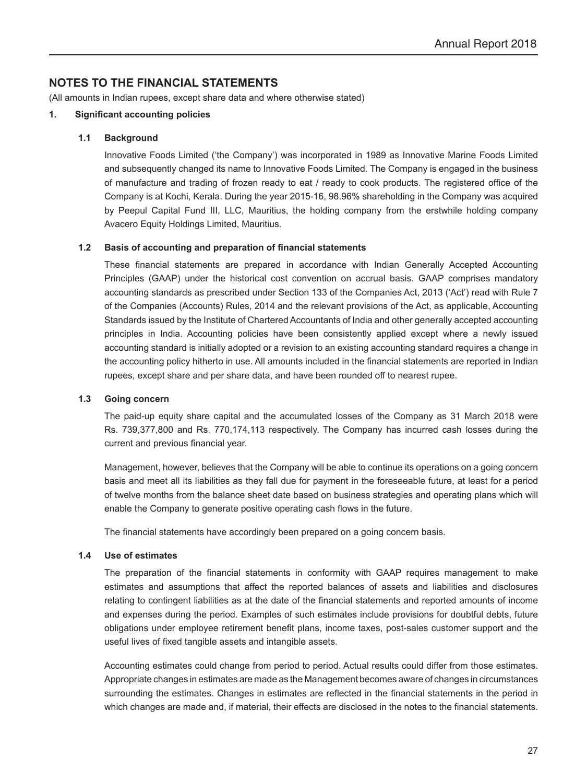# **NOTES TO THE FINANCIAL STATEMENTS**

(All amounts in Indian rupees, except share data and where otherwise stated)

# **1. Significant accounting policies**

# **1.1 Background**

Innovative Foods Limited ('the Company') was incorporated in 1989 as Innovative Marine Foods Limited and subsequently changed its name to Innovative Foods Limited. The Company is engaged in the business of manufacture and trading of frozen ready to eat / ready to cook products. The registered office of the Company is at Kochi, Kerala. During the year 2015-16, 98.96% shareholding in the Company was acquired by Peepul Capital Fund III, LLC, Mauritius, the holding company from the erstwhile holding company Avacero Equity Holdings Limited, Mauritius.

# **1.2 Basis of accounting and preparation of financial statements**

These financial statements are prepared in accordance with Indian Generally Accepted Accounting Principles (GAAP) under the historical cost convention on accrual basis. GAAP comprises mandatory accounting standards as prescribed under Section 133 of the Companies Act, 2013 ('Act') read with Rule 7 of the Companies (Accounts) Rules, 2014 and the relevant provisions of the Act, as applicable, Accounting Standards issued by the Institute of Chartered Accountants of India and other generally accepted accounting principles in India. Accounting policies have been consistently applied except where a newly issued accounting standard is initially adopted or a revision to an existing accounting standard requires a change in the accounting policy hitherto in use. All amounts included in the financial statements are reported in Indian rupees, except share and per share data, and have been rounded off to nearest rupee.

# **1.3 Going concern**

The paid-up equity share capital and the accumulated losses of the Company as 31 March 2018 were Rs. 739,377,800 and Rs. 770,174,113 respectively. The Company has incurred cash losses during the current and previous financial year.

Management, however, believes that the Company will be able to continue its operations on a going concern basis and meet all its liabilities as they fall due for payment in the foreseeable future, at least for a period of twelve months from the balance sheet date based on business strategies and operating plans which will enable the Company to generate positive operating cash flows in the future.

The financial statements have accordingly been prepared on a going concern basis.

# **1.4 Use of estimates**

The preparation of the financial statements in conformity with GAAP requires management to make estimates and assumptions that affect the reported balances of assets and liabilities and disclosures relating to contingent liabilities as at the date of the financial statements and reported amounts of income and expenses during the period. Examples of such estimates include provisions for doubtful debts, future obligations under employee retirement benefit plans, income taxes, post-sales customer support and the useful lives of fixed tangible assets and intangible assets.

Accounting estimates could change from period to period. Actual results could differ from those estimates. Appropriate changes in estimates are made as the Management becomes aware of changes in circumstances surrounding the estimates. Changes in estimates are reflected in the financial statements in the period in which changes are made and, if material, their effects are disclosed in the notes to the financial statements.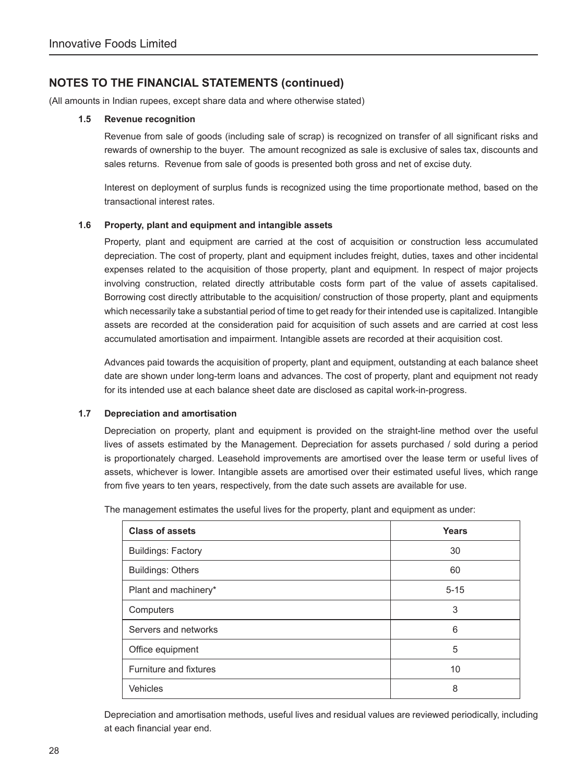(All amounts in Indian rupees, except share data and where otherwise stated)

# **1.5 Revenue recognition**

Revenue from sale of goods (including sale of scrap) is recognized on transfer of all significant risks and rewards of ownership to the buyer. The amount recognized as sale is exclusive of sales tax, discounts and sales returns. Revenue from sale of goods is presented both gross and net of excise duty.

Interest on deployment of surplus funds is recognized using the time proportionate method, based on the transactional interest rates.

# **1.6 Property, plant and equipment and intangible assets**

Property, plant and equipment are carried at the cost of acquisition or construction less accumulated depreciation. The cost of property, plant and equipment includes freight, duties, taxes and other incidental expenses related to the acquisition of those property, plant and equipment. In respect of major projects involving construction, related directly attributable costs form part of the value of assets capitalised. Borrowing cost directly attributable to the acquisition/ construction of those property, plant and equipments which necessarily take a substantial period of time to get ready for their intended use is capitalized. Intangible assets are recorded at the consideration paid for acquisition of such assets and are carried at cost less accumulated amortisation and impairment. Intangible assets are recorded at their acquisition cost.

Advances paid towards the acquisition of property, plant and equipment, outstanding at each balance sheet date are shown under long-term loans and advances. The cost of property, plant and equipment not ready for its intended use at each balance sheet date are disclosed as capital work-in-progress.

# **1.7 Depreciation and amortisation**

Depreciation on property, plant and equipment is provided on the straight-line method over the useful lives of assets estimated by the Management. Depreciation for assets purchased / sold during a period is proportionately charged. Leasehold improvements are amortised over the lease term or useful lives of assets, whichever is lower. Intangible assets are amortised over their estimated useful lives, which range from five years to ten years, respectively, from the date such assets are available for use.

The management estimates the useful lives for the property, plant and equipment as under:

| <b>Class of assets</b>    | Years    |
|---------------------------|----------|
| <b>Buildings: Factory</b> | 30       |
| <b>Buildings: Others</b>  | 60       |
| Plant and machinery*      | $5 - 15$ |
| Computers                 | 3        |
| Servers and networks      | 6        |
| Office equipment          | 5        |
| Furniture and fixtures    | 10       |
| Vehicles                  | 8        |

Depreciation and amortisation methods, useful lives and residual values are reviewed periodically, including at each financial year end.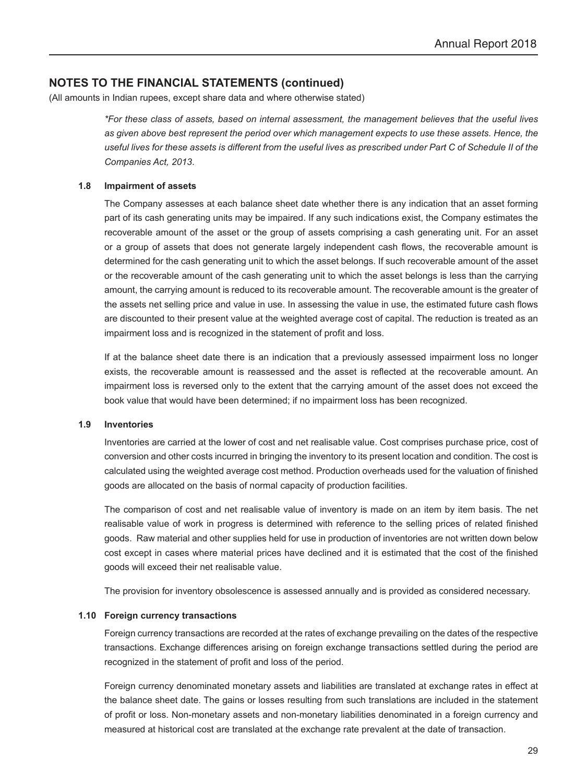(All amounts in Indian rupees, except share data and where otherwise stated)

*\*For these class of assets, based on internal assessment, the management believes that the useful lives as given above best represent the period over which management expects to use these assets. Hence, the useful lives for these assets is different from the useful lives as prescribed under Part C of Schedule II of the Companies Act, 2013*.

### **1.8 Impairment of assets**

The Company assesses at each balance sheet date whether there is any indication that an asset forming part of its cash generating units may be impaired. If any such indications exist, the Company estimates the recoverable amount of the asset or the group of assets comprising a cash generating unit. For an asset or a group of assets that does not generate largely independent cash flows, the recoverable amount is determined for the cash generating unit to which the asset belongs. If such recoverable amount of the asset or the recoverable amount of the cash generating unit to which the asset belongs is less than the carrying amount, the carrying amount is reduced to its recoverable amount. The recoverable amount is the greater of the assets net selling price and value in use. In assessing the value in use, the estimated future cash flows are discounted to their present value at the weighted average cost of capital. The reduction is treated as an impairment loss and is recognized in the statement of profit and loss.

If at the balance sheet date there is an indication that a previously assessed impairment loss no longer exists, the recoverable amount is reassessed and the asset is reflected at the recoverable amount. An impairment loss is reversed only to the extent that the carrying amount of the asset does not exceed the book value that would have been determined; if no impairment loss has been recognized.

# **1.9 Inventories**

Inventories are carried at the lower of cost and net realisable value. Cost comprises purchase price, cost of conversion and other costs incurred in bringing the inventory to its present location and condition. The cost is calculated using the weighted average cost method. Production overheads used for the valuation of finished goods are allocated on the basis of normal capacity of production facilities.

The comparison of cost and net realisable value of inventory is made on an item by item basis. The net realisable value of work in progress is determined with reference to the selling prices of related finished goods. Raw material and other supplies held for use in production of inventories are not written down below cost except in cases where material prices have declined and it is estimated that the cost of the finished goods will exceed their net realisable value.

The provision for inventory obsolescence is assessed annually and is provided as considered necessary.

### **1.10 Foreign currency transactions**

Foreign currency transactions are recorded at the rates of exchange prevailing on the dates of the respective transactions. Exchange differences arising on foreign exchange transactions settled during the period are recognized in the statement of profit and loss of the period.

Foreign currency denominated monetary assets and liabilities are translated at exchange rates in effect at the balance sheet date. The gains or losses resulting from such translations are included in the statement of profit or loss. Non-monetary assets and non-monetary liabilities denominated in a foreign currency and measured at historical cost are translated at the exchange rate prevalent at the date of transaction.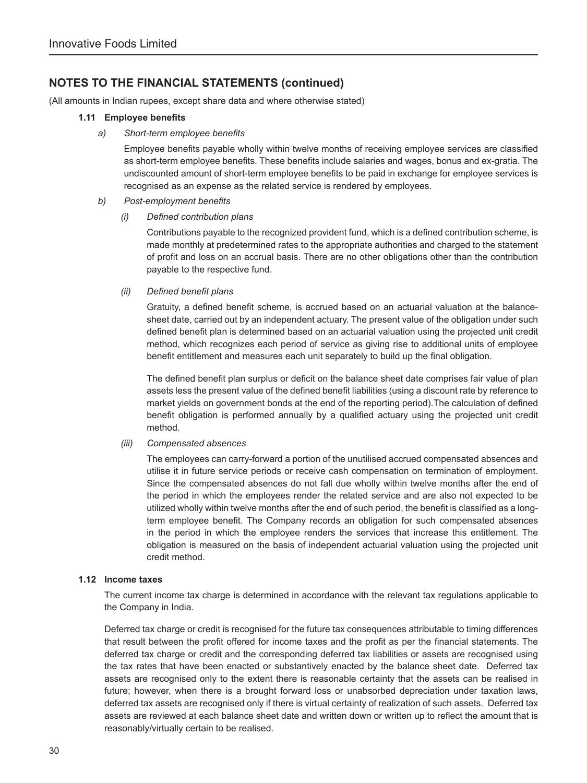(All amounts in Indian rupees, except share data and where otherwise stated)

# **1.11 Employee benefits**

*a) Short-term employee benefits*

Employee benefits payable wholly within twelve months of receiving employee services are classified as short-term employee benefits. These benefits include salaries and wages, bonus and ex-gratia. The undiscounted amount of short-term employee benefits to be paid in exchange for employee services is recognised as an expense as the related service is rendered by employees.

### *b) Post-employment benefits*

*(i) Defined contribution plans*

Contributions payable to the recognized provident fund, which is a defined contribution scheme, is made monthly at predetermined rates to the appropriate authorities and charged to the statement of profit and loss on an accrual basis. There are no other obligations other than the contribution payable to the respective fund.

### *(ii) Defined benefit plans*

Gratuity, a defined benefit scheme, is accrued based on an actuarial valuation at the balancesheet date, carried out by an independent actuary. The present value of the obligation under such defined benefit plan is determined based on an actuarial valuation using the projected unit credit method, which recognizes each period of service as giving rise to additional units of employee benefit entitlement and measures each unit separately to build up the final obligation.

The defined benefit plan surplus or deficit on the balance sheet date comprises fair value of plan assets less the present value of the defined benefit liabilities (using a discount rate by reference to market yields on government bonds at the end of the reporting period).The calculation of defined benefit obligation is performed annually by a qualified actuary using the projected unit credit method.

### *(iii) Compensated absences*

The employees can carry-forward a portion of the unutilised accrued compensated absences and utilise it in future service periods or receive cash compensation on termination of employment. Since the compensated absences do not fall due wholly within twelve months after the end of the period in which the employees render the related service and are also not expected to be utilized wholly within twelve months after the end of such period, the benefit is classified as a longterm employee benefit. The Company records an obligation for such compensated absences in the period in which the employee renders the services that increase this entitlement. The obligation is measured on the basis of independent actuarial valuation using the projected unit credit method.

# **1.12 Income taxes**

The current income tax charge is determined in accordance with the relevant tax regulations applicable to the Company in India.

Deferred tax charge or credit is recognised for the future tax consequences attributable to timing differences that result between the profit offered for income taxes and the profit as per the financial statements. The deferred tax charge or credit and the corresponding deferred tax liabilities or assets are recognised using the tax rates that have been enacted or substantively enacted by the balance sheet date. Deferred tax assets are recognised only to the extent there is reasonable certainty that the assets can be realised in future; however, when there is a brought forward loss or unabsorbed depreciation under taxation laws, deferred tax assets are recognised only if there is virtual certainty of realization of such assets. Deferred tax assets are reviewed at each balance sheet date and written down or written up to reflect the amount that is reasonably/virtually certain to be realised.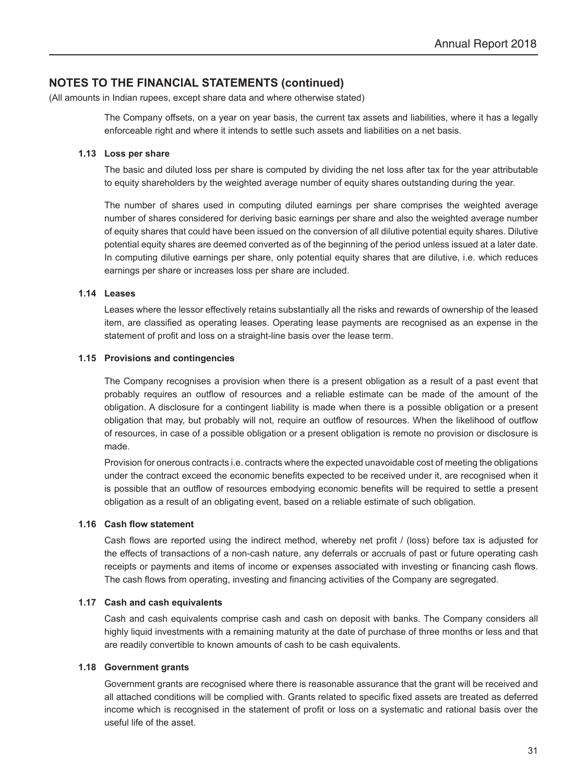(All amounts in Indian rupees, except share data and where otherwise stated)

The Company offsets, on a year on year basis, the current tax assets and liabilities, where it has a legally enforceable right and where it intends to settle such assets and liabilities on a net basis.

# **1.13 Loss per share**

The basic and diluted loss per share is computed by dividing the net loss after tax for the year attributable to equity shareholders by the weighted average number of equity shares outstanding during the year.

The number of shares used in computing diluted earnings per share comprises the weighted average number of shares considered for deriving basic earnings per share and also the weighted average number of equity shares that could have been issued on the conversion of all dilutive potential equity shares. Dilutive potential equity shares are deemed converted as of the beginning of the period unless issued at a later date. In computing dilutive earnings per share, only potential equity shares that are dilutive, i.e. which reduces earnings per share or increases loss per share are included.

# **1.14 Leases**

Leases where the lessor effectively retains substantially all the risks and rewards of ownership of the leased item, are classified as operating leases. Operating lease payments are recognised as an expense in the statement of profit and loss on a straight-line basis over the lease term.

# **1.15 Provisions and contingencies**

The Company recognises a provision when there is a present obligation as a result of a past event that probably requires an outflow of resources and a reliable estimate can be made of the amount of the obligation. A disclosure for a contingent liability is made when there is a possible obligation or a present obligation that may, but probably will not, require an outflow of resources. When the likelihood of outflow of resources, in case of a possible obligation or a present obligation is remote no provision or disclosure is made.

Provision for onerous contracts i.e. contracts where the expected unavoidable cost of meeting the obligations under the contract exceed the economic benefits expected to be received under it, are recognised when it is possible that an outflow of resources embodying economic benefits will be required to settle a present obligation as a result of an obligating event, based on a reliable estimate of such obligation.

# **1.16 Cash flow statement**

Cash flows are reported using the indirect method, whereby net profit / (loss) before tax is adjusted for the effects of transactions of a non-cash nature, any deferrals or accruals of past or future operating cash receipts or payments and items of income or expenses associated with investing or financing cash flows. The cash flows from operating, investing and financing activities of the Company are segregated.

# **1.17 Cash and cash equivalents**

Cash and cash equivalents comprise cash and cash on deposit with banks. The Company considers all highly liquid investments with a remaining maturity at the date of purchase of three months or less and that are readily convertible to known amounts of cash to be cash equivalents.

# **1.18 Government grants**

Government grants are recognised where there is reasonable assurance that the grant will be received and all attached conditions will be complied with. Grants related to specific fixed assets are treated as deferred income which is recognised in the statement of profit or loss on a systematic and rational basis over the useful life of the asset.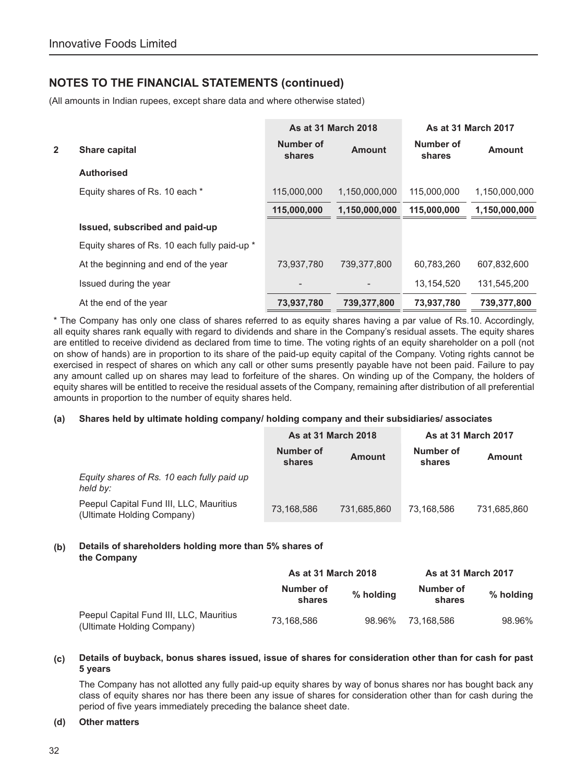(All amounts in Indian rupees, except share data and where otherwise stated)

|   |                                              | As at 31 March 2018 |               |                     | As at 31 March 2017 |
|---|----------------------------------------------|---------------------|---------------|---------------------|---------------------|
| 2 | Share capital                                | Number of<br>shares | Amount        | Number of<br>shares | Amount              |
|   | <b>Authorised</b>                            |                     |               |                     |                     |
|   | Equity shares of Rs. 10 each *               | 115.000.000         | 1.150.000.000 | 115.000.000         | 1.150.000.000       |
|   |                                              | 115,000,000         | 1.150.000.000 | 115,000,000         | 1,150,000,000       |
|   | Issued, subscribed and paid-up               |                     |               |                     |                     |
|   | Equity shares of Rs. 10 each fully paid-up * |                     |               |                     |                     |
|   | At the beginning and end of the year         | 73,937,780          | 739.377.800   | 60,783,260          | 607.832.600         |
|   | Issued during the year                       |                     |               | 13.154.520          | 131.545.200         |
|   | At the end of the year                       | 73,937,780          | 739,377,800   | 73,937,780          | 739,377,800         |

\* The Company has only one class of shares referred to as equity shares having a par value of Rs.10. Accordingly, all equity shares rank equally with regard to dividends and share in the Company's residual assets. The equity shares are entitled to receive dividend as declared from time to time. The voting rights of an equity shareholder on a poll (not on show of hands) are in proportion to its share of the paid-up equity capital of the Company. Voting rights cannot be exercised in respect of shares on which any call or other sums presently payable have not been paid. Failure to pay any amount called up on shares may lead to forfeiture of the shares. On winding up of the Company, the holders of equity shares will be entitled to receive the residual assets of the Company, remaining after distribution of all preferential amounts in proportion to the number of equity shares held.

# **(a) Shares held by ultimate holding company/ holding company and their subsidiaries/ associates**

|                                                                       | As at 31 March 2018 |             | As at 31 March 2017 |             |
|-----------------------------------------------------------------------|---------------------|-------------|---------------------|-------------|
|                                                                       | Number of<br>shares | Amount      | Number of<br>shares | Amount      |
| Equity shares of Rs. 10 each fully paid up<br>held by:                |                     |             |                     |             |
| Peepul Capital Fund III, LLC, Mauritius<br>(Ultimate Holding Company) | 73.168.586          | 731.685.860 | 73.168.586          | 731.685.860 |

# **(b) Details of shareholders holding more than 5% shares of the Company**

|                                                                       | As at 31 March 2018 |           | As at 31 March 2017 |           |
|-----------------------------------------------------------------------|---------------------|-----------|---------------------|-----------|
|                                                                       | Number of<br>shares | % holding | Number of<br>shares | % holding |
| Peepul Capital Fund III, LLC, Mauritius<br>(Ultimate Holding Company) | 73.168.586          | 98.96%    | 73.168.586          | 98.96%    |

# **(c) Details of buyback, bonus shares issued, issue of shares for consideration other than for cash for past 5 years**

The Company has not allotted any fully paid-up equity shares by way of bonus shares nor has bought back any class of equity shares nor has there been any issue of shares for consideration other than for cash during the period of five years immediately preceding the balance sheet date.

# **(d) Other matters**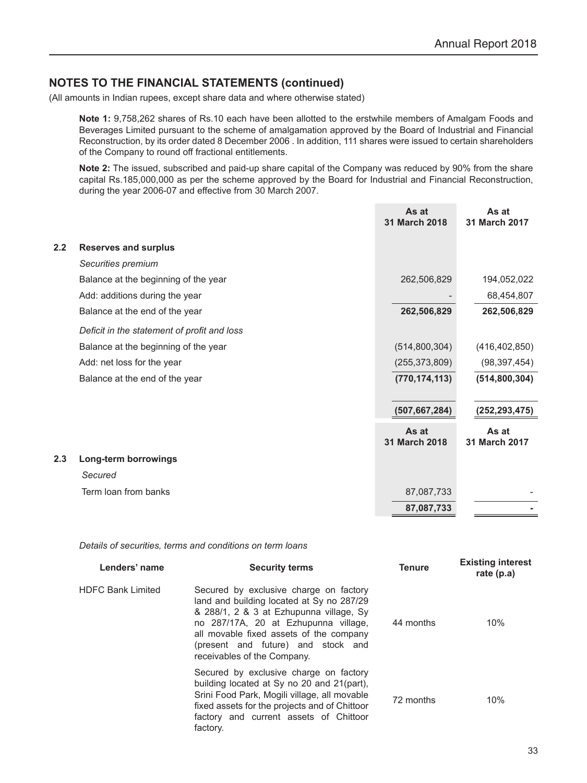(All amounts in Indian rupees, except share data and where otherwise stated)

**Note 1:** 9,758,262 shares of Rs.10 each have been allotted to the erstwhile members of Amalgam Foods and Beverages Limited pursuant to the scheme of amalgamation approved by the Board of Industrial and Financial Reconstruction, by its order dated 8 December 2006 . In addition, 111 shares were issued to certain shareholders of the Company to round off fractional entitlements.

**Note 2:** The issued, subscribed and paid-up share capital of the Company was reduced by 90% from the share capital Rs.185,000,000 as per the scheme approved by the Board for Industrial and Financial Reconstruction, during the year 2006-07 and effective from 30 March 2007.

|     |                                             | As at<br>31 March 2018 | As at<br>31 March 2017 |
|-----|---------------------------------------------|------------------------|------------------------|
| 2.2 | <b>Reserves and surplus</b>                 |                        |                        |
|     | Securities premium                          |                        |                        |
|     | Balance at the beginning of the year        | 262,506,829            | 194,052,022            |
|     | Add: additions during the year              |                        | 68,454,807             |
|     | Balance at the end of the year              | 262,506,829            | 262,506,829            |
|     | Deficit in the statement of profit and loss |                        |                        |
|     | Balance at the beginning of the year        | (514,800,304)          | (416, 402, 850)        |
|     | Add: net loss for the year                  | (255, 373, 809)        | (98, 397, 454)         |
|     | Balance at the end of the year              | (770, 174, 113)        | (514,800,304)          |
|     |                                             | (507, 667, 284)        | (252, 293, 475)        |
|     |                                             | As at<br>31 March 2018 | As at<br>31 March 2017 |
| 2.3 | Long-term borrowings                        |                        |                        |
|     | Secured                                     |                        |                        |
|     | Term loan from banks                        | 87,087,733             |                        |
|     |                                             | 87,087,733             |                        |

*Details of securities, terms and conditions on term loans*

| Lenders' name            | <b>Security terms</b>                                                                                                                                                                                                                                                                  | <b>Tenure</b> | <b>Existing interest</b><br>rate $(p.a)$ |
|--------------------------|----------------------------------------------------------------------------------------------------------------------------------------------------------------------------------------------------------------------------------------------------------------------------------------|---------------|------------------------------------------|
| <b>HDFC Bank Limited</b> | Secured by exclusive charge on factory<br>land and building located at Sy no 287/29<br>& 288/1, 2 & 3 at Ezhupunna village, Sy<br>no 287/17A, 20 at Ezhupunna village,<br>all movable fixed assets of the company<br>(present and future) and stock and<br>receivables of the Company. | 44 months     | 10%                                      |
|                          | Secured by exclusive charge on factory<br>building located at Sy no 20 and 21(part).<br>Srini Food Park, Mogili village, all movable<br>fixed assets for the projects and of Chittoor<br>factory and current assets of Chittoor<br>factory.                                            | 72 months     | 10%                                      |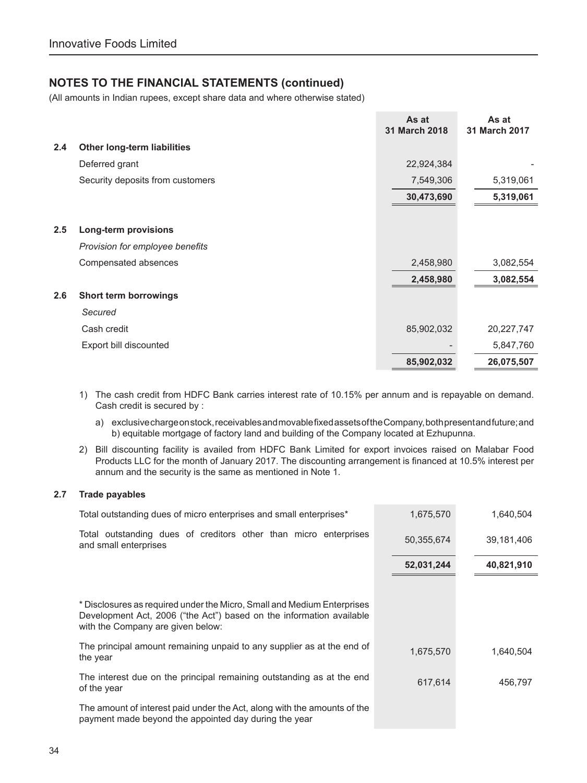(All amounts in Indian rupees, except share data and where otherwise stated)

|     |                                  | As at<br>31 March 2018 | As at<br>31 March 2017 |
|-----|----------------------------------|------------------------|------------------------|
| 2.4 | Other long-term liabilities      |                        |                        |
|     | Deferred grant                   | 22,924,384             |                        |
|     | Security deposits from customers | 7,549,306              | 5,319,061              |
|     |                                  | 30,473,690             | 5,319,061              |
|     |                                  |                        |                        |
| 2.5 | Long-term provisions             |                        |                        |
|     | Provision for employee benefits  |                        |                        |
|     | Compensated absences             | 2,458,980              | 3,082,554              |
|     |                                  | 2,458,980              | 3,082,554              |
| 2.6 | Short term borrowings            |                        |                        |
|     | Secured                          |                        |                        |
|     | Cash credit                      | 85,902,032             | 20,227,747             |
|     | Export bill discounted           |                        | 5,847,760              |
|     |                                  | 85,902,032             | 26,075,507             |

- 1) The cash credit from HDFC Bank carries interest rate of 10.15% per annum and is repayable on demand. Cash credit is secured by :
	- a) exclusive charge on stock, receivables and movable fixed assets of the Company, both present and future; and b) equitable mortgage of factory land and building of the Company located at Ezhupunna.
- 2) Bill discounting facility is availed from HDFC Bank Limited for export invoices raised on Malabar Food Products LLC for the month of January 2017. The discounting arrangement is financed at 10.5% interest per annum and the security is the same as mentioned in Note 1.

# **2.7 Trade payables**

| Total outstanding dues of micro enterprises and small enterprises*                                                                                                                   | 1,675,570  | 1,640,504  |
|--------------------------------------------------------------------------------------------------------------------------------------------------------------------------------------|------------|------------|
| Total outstanding dues of creditors other than micro enterprises<br>and small enterprises                                                                                            | 50,355,674 | 39,181,406 |
|                                                                                                                                                                                      | 52,031,244 | 40,821,910 |
|                                                                                                                                                                                      |            |            |
| * Disclosures as required under the Micro, Small and Medium Enterprises<br>Development Act, 2006 ("the Act") based on the information available<br>with the Company are given below: |            |            |
| The principal amount remaining unpaid to any supplier as at the end of<br>the year                                                                                                   | 1.675.570  | 1.640.504  |
| The interest due on the principal remaining outstanding as at the end<br>of the year                                                                                                 | 617.614    | 456.797    |
| The amount of interest paid under the Act, along with the amounts of the<br>payment made beyond the appointed day during the year                                                    |            |            |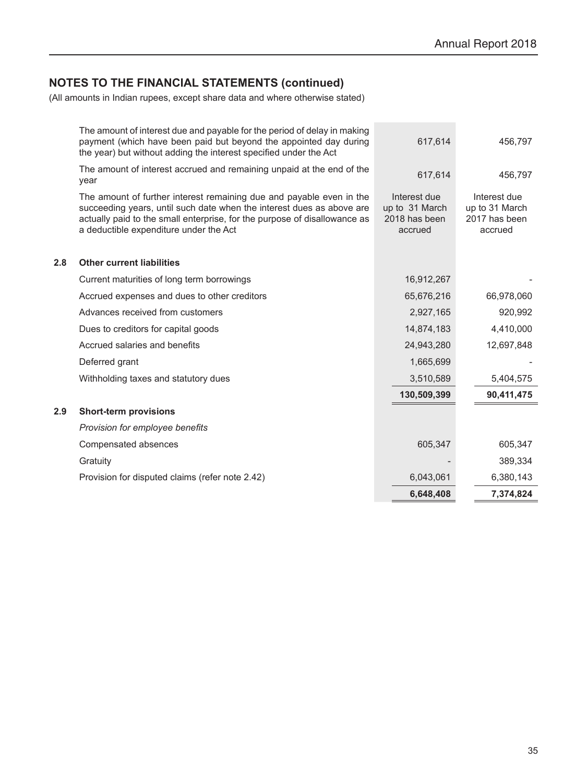| The amount of interest due and payable for the period of delay in making<br>payment (which have been paid but beyond the appointed day during<br>the year) but without adding the interest specified under the Act                                                   | 617,614                                                    | 456,797                                                    |
|----------------------------------------------------------------------------------------------------------------------------------------------------------------------------------------------------------------------------------------------------------------------|------------------------------------------------------------|------------------------------------------------------------|
| The amount of interest accrued and remaining unpaid at the end of the<br>year                                                                                                                                                                                        | 617,614                                                    | 456,797                                                    |
| The amount of further interest remaining due and payable even in the<br>succeeding years, until such date when the interest dues as above are<br>actually paid to the small enterprise, for the purpose of disallowance as<br>a deductible expenditure under the Act | Interest due<br>up to 31 March<br>2018 has been<br>accrued | Interest due<br>up to 31 March<br>2017 has been<br>accrued |
| <b>Other current liabilities</b><br>2.8                                                                                                                                                                                                                              |                                                            |                                                            |
| Current maturities of long term borrowings                                                                                                                                                                                                                           | 16,912,267                                                 |                                                            |
| Accrued expenses and dues to other creditors                                                                                                                                                                                                                         | 65,676,216                                                 | 66,978,060                                                 |
| Advances received from customers                                                                                                                                                                                                                                     | 2,927,165                                                  | 920,992                                                    |
| Dues to creditors for capital goods                                                                                                                                                                                                                                  | 14,874,183                                                 | 4,410,000                                                  |
| Accrued salaries and benefits                                                                                                                                                                                                                                        | 24,943,280                                                 | 12,697,848                                                 |
| Deferred grant                                                                                                                                                                                                                                                       | 1,665,699                                                  |                                                            |
| Withholding taxes and statutory dues                                                                                                                                                                                                                                 | 3,510,589                                                  | 5,404,575                                                  |
|                                                                                                                                                                                                                                                                      | 130,509,399                                                | 90,411,475                                                 |
| 2.9<br><b>Short-term provisions</b>                                                                                                                                                                                                                                  |                                                            |                                                            |
| Provision for employee benefits                                                                                                                                                                                                                                      |                                                            |                                                            |
| Compensated absences                                                                                                                                                                                                                                                 | 605,347                                                    | 605,347                                                    |
| Gratuity                                                                                                                                                                                                                                                             |                                                            | 389,334                                                    |
| Provision for disputed claims (refer note 2.42)                                                                                                                                                                                                                      | 6,043,061                                                  | 6,380,143                                                  |
|                                                                                                                                                                                                                                                                      | 6,648,408                                                  | 7,374,824                                                  |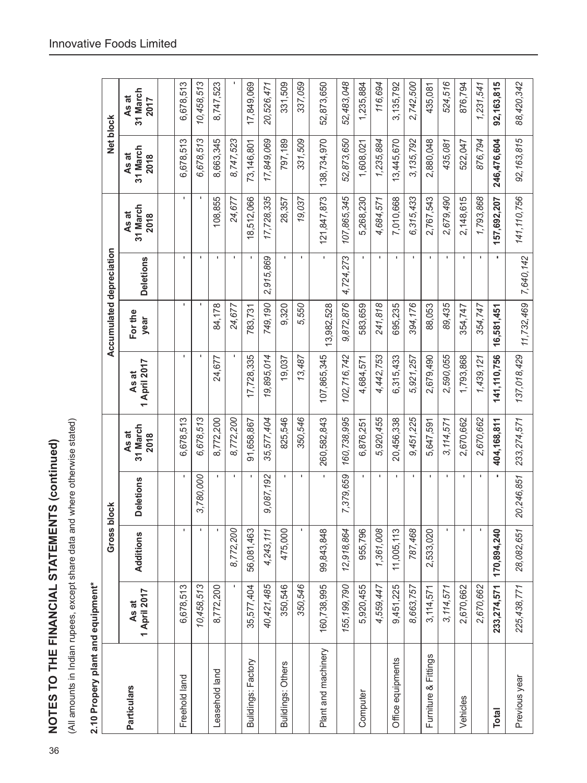NOTES TO THE FINANCIAL STATEMENTS (continued) **NOTES TO THE FINANCIAL STATEMENTS (continued)**

36

(All amounts in Indian rupees, except share data and where otherwise stated) (All amounts in Indian rupees, except share data and where otherwise stated)

| í |
|---|
|   |
|   |
|   |
|   |
|   |
|   |
|   |

|                          |                                | Gross block       |                  |                           |                       | Accumulated depreciation |                  |                           | Net block                 |                           |
|--------------------------|--------------------------------|-------------------|------------------|---------------------------|-----------------------|--------------------------|------------------|---------------------------|---------------------------|---------------------------|
| Particulars              | 1 April 2017<br>As at          | Additions         | <b>Deletions</b> | 31 March<br>As at<br>2018 | 1 April 2017<br>As at | For the<br>year          | <b>Deletions</b> | 31 March<br>As at<br>2018 | 31 March<br>As at<br>2018 | 31 March<br>As at<br>2017 |
|                          |                                |                   |                  |                           |                       |                          |                  |                           |                           |                           |
| Freehold land            | S<br>6,678,51                  | ı                 |                  | 6,678,513                 | ı                     |                          | $\mathbf{I}$     |                           | 6,678,513                 | 6,678,513                 |
|                          | ო<br>10,458,51                 |                   | 3,780,000        | 6,678,513                 |                       |                          | ٠                |                           | 6,678,513                 | 10,458,513                |
| Leasehold land           | 8,772,200                      |                   |                  | 8,772,200                 | 24,677                | 84,178                   |                  | 108,855                   | 8,663,345                 | 8,747,523                 |
|                          |                                | 8,772,200         |                  | 8,772,200                 |                       | 24,677                   | ٠                | 24,677                    | 8,747,523                 |                           |
| Bulidings: Factory       | 35,577,404                     | 56,081,463        |                  | 91,658,867                | 17,728,335            | 783,731                  |                  | 18,512,066                | 73,146,801                | 17,849,069                |
|                          | 40,421,485                     | 4,243,111         | 9,087,192        | 35,577,404                | 19,895,014            | 749,190                  | 2,915,869        | 17,728,335                | 17,849,069                | 20,526,471                |
| <b>Bulidings: Others</b> | 350,546                        | 475,000           |                  | 825,546                   | 19,037                | 9,320                    |                  | 28,357                    | 797,189                   | 331,509                   |
|                          | 350,546                        |                   | $\mathbf{I}$     | 350,546                   | 13,487                | 5,550                    | $\mathbf{I}$     | 19,037                    | 331,509                   | 337,059                   |
| Plant and machinery      | 160,738,995                    | 99,843,848        |                  | 260,582,843               | 107,865,345           | 13,982,528               |                  | 121,847,873               | 138,734,970               | 52,873,650                |
|                          | 155, 199, 790                  | 12,918,864        | 7,379,659        | 160,738,995               | 102,716,742           | 9,872,876                | 4,724,273        | 107,865,345               | 52,873,650                | 52,483,048                |
| Computer                 | 5,920,455                      | 955,796           |                  | 6,876,251                 | 4,684,571             | 583,659                  |                  | 5,268,230                 | 1,608,021                 | 1,235,884                 |
|                          | 4,559,447                      | 1,361,008         | J.               | 5,920,455                 | 4,442,753             | 241,818                  | $\mathbf{I}$     | 4,684,571                 | 1,235,884                 | 116,694                   |
| Office equipments        | 9,451,225                      | 11,005,113        |                  | 20,456,338                | 6,315,433             | 695,235                  |                  | 7,010,668                 | 13,445,670                | 3,135,792                 |
|                          | 8,663,757                      | 787,468           | $\mathbf{I}$     | 9,451,225                 | 5,921,257             | 394,176                  | $\mathbf{I}$     | 6,315,433                 | 3,135,792                 | 2,742,500                 |
| Furniture & Fittings     | 3,114,571                      | 533,020<br>$\sim$ | $\mathbf{I}$     | 5,647,591                 | 2,679,490             | 88,053                   | $\mathbf{I}$     | 2,767,543                 | 2,880,048                 | 435,081                   |
|                          | 3,114,571                      | ٠                 | t,               | 3,114,571                 | 2,590,055             | 89,435                   | f.               | 2,679,490                 | 435,081                   | 524,516                   |
| Vehicles                 | 2,670,662                      | ı                 | $\mathbf{I}$     | 2,670,662                 | 1,793,868             | 354,747                  | $\mathbf{I}$     | 2,148,615                 | 522,047                   | 876,794                   |
|                          | 2,670,662                      |                   | f,               | 2,670,662                 | 1,439,121             | 354,747                  | f.               | 1,793,868                 | 876,794                   | 1,231,541                 |
| <b>Total</b>             | $\overline{ }$<br>233, 274, 57 | 170,894,240       |                  | 404,168,811               | 141, 110, 756         | 16,581,45                | ×,               | 157,692,207               | 246,476,604               | 92,163,815                |
| Previous year            | 225, 438, 771                  | 28,082,651        | 20,246,851       | 233, 274, 571             | 137,018,429           | 11,732,469               | 7,640,142        | 141, 110, 756             | 92,163,815                | 88,420,342                |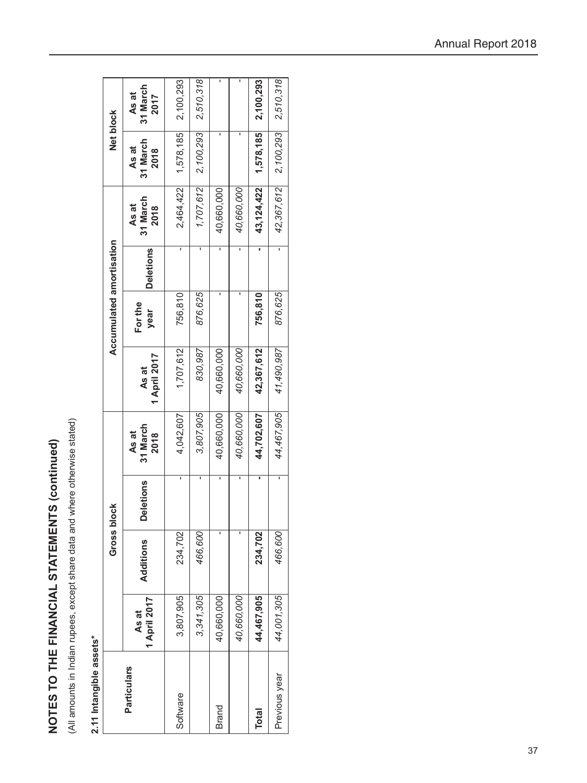NOTES TO THE FINANCIAL STATEMENTS (continued) **NOTES TO THE FINANCIAL STATEMENTS (continued)**

(All amounts in Indian rupees, except share data and where otherwise stated) (All amounts in Indian rupees, except share data and where otherwise stated)

# 2.11 Intangible assets\* **2.11 Intangible assets\***

|                    |                       | Gross block |                  |                           |                       | Accumulated amortisation |                  |                           | Net block                 |                           |
|--------------------|-----------------------|-------------|------------------|---------------------------|-----------------------|--------------------------|------------------|---------------------------|---------------------------|---------------------------|
| <b>Particulars</b> | 1 April 2017<br>As at | Additions   | <b>Deletions</b> | 31 March<br>As at<br>2018 | 1 April 2017<br>As at | For the<br>year          | <b>Deletions</b> | 31 March<br>As at<br>2018 | 31 March<br>As at<br>2018 | 31 March<br>As at<br>2017 |
| Software           | 3,807,905             | 234,702     |                  | 4,042,607                 | 1,707,612             | 756,810                  |                  | 2,464,422                 | 1,578,185                 | 2,100,293                 |
|                    | 3,341,305             | 466.600     |                  | 3,807,905                 | 830,987               | 876,625                  |                  | 1,707,612                 | 2,100,293                 | 2,510,318                 |
| Brand              | 40,660,000            |             |                  | 40,660,000                | 40,660,000            |                          |                  | 40,660,000                |                           |                           |
|                    | 40,660,000            |             |                  | 40,660,000                | 40,660,000            |                          |                  | 40,660,000                |                           |                           |
| <b>Total</b>       | 44,467,905            | 234,702     |                  | 44,702,607                | 42,367,612            | 756,810                  |                  | 43, 124, 422              | 1,578,185                 | 2,100,293                 |
| Previous year      | 44,001,305            | 466,600     |                  | 44,467,905                | 41,490,987            | 876.625                  |                  | 42,367,612                | 2,100,293                 | 2,510,318                 |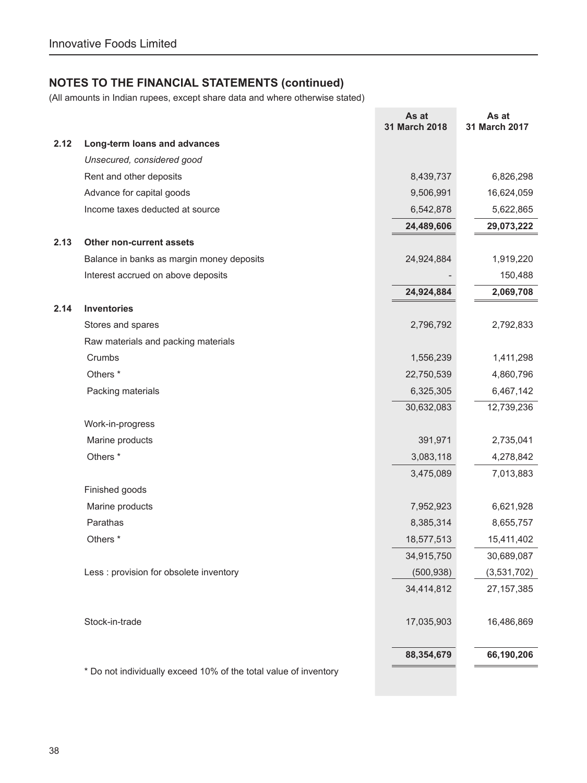|      |                                                                  | As at<br>31 March 2018 | As at<br>31 March 2017 |
|------|------------------------------------------------------------------|------------------------|------------------------|
| 2.12 | Long-term loans and advances                                     |                        |                        |
|      | Unsecured, considered good                                       |                        |                        |
|      | Rent and other deposits                                          | 8,439,737              | 6,826,298              |
|      | Advance for capital goods                                        | 9,506,991              | 16,624,059             |
|      | Income taxes deducted at source                                  | 6,542,878              | 5,622,865              |
|      |                                                                  | 24,489,606             | 29,073,222             |
| 2.13 | Other non-current assets                                         |                        |                        |
|      | Balance in banks as margin money deposits                        | 24,924,884             | 1,919,220              |
|      | Interest accrued on above deposits                               |                        | 150,488                |
|      |                                                                  | 24,924,884             | 2,069,708              |
| 2.14 | <b>Inventories</b>                                               |                        |                        |
|      | Stores and spares                                                | 2,796,792              | 2,792,833              |
|      | Raw materials and packing materials                              |                        |                        |
|      | Crumbs                                                           | 1,556,239              | 1,411,298              |
|      | Others <sup>*</sup>                                              | 22,750,539             | 4,860,796              |
|      | Packing materials                                                | 6,325,305              | 6,467,142              |
|      |                                                                  | 30,632,083             | 12,739,236             |
|      | Work-in-progress                                                 |                        |                        |
|      | Marine products                                                  | 391,971                | 2,735,041              |
|      | Others <sup>*</sup>                                              | 3,083,118              | 4,278,842              |
|      |                                                                  | 3,475,089              | 7,013,883              |
|      | Finished goods                                                   |                        |                        |
|      | Marine products                                                  | 7,952,923              | 6,621,928              |
|      | Parathas                                                         | 8,385,314              | 8,655,757              |
|      | Others <sup>*</sup>                                              | 18,577,513             | 15,411,402             |
|      |                                                                  | 34,915,750             | 30,689,087             |
|      | Less: provision for obsolete inventory                           | (500, 938)             | (3,531,702)            |
|      |                                                                  | 34,414,812             | 27, 157, 385           |
|      | Stock-in-trade                                                   | 17,035,903             | 16,486,869             |
|      |                                                                  | 88,354,679             | 66,190,206             |
|      | * Do not individually exceed 10% of the total value of inventory |                        |                        |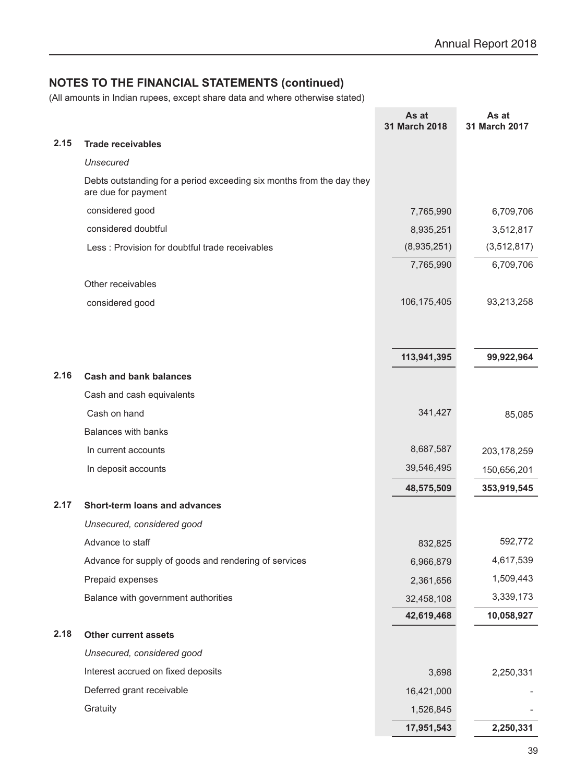|      |                                                                                              | As at<br>31 March 2018 | As at<br>31 March 2017 |
|------|----------------------------------------------------------------------------------------------|------------------------|------------------------|
| 2.15 | <b>Trade receivables</b>                                                                     |                        |                        |
|      | <b>Unsecured</b>                                                                             |                        |                        |
|      | Debts outstanding for a period exceeding six months from the day they<br>are due for payment |                        |                        |
|      | considered good                                                                              | 7,765,990              | 6,709,706              |
|      | considered doubtful                                                                          | 8,935,251              | 3,512,817              |
|      | Less: Provision for doubtful trade receivables                                               | (8,935,251)            | (3,512,817)            |
|      |                                                                                              | 7,765,990              | 6,709,706              |
|      | Other receivables                                                                            |                        |                        |
|      | considered good                                                                              | 106, 175, 405          | 93,213,258             |
|      |                                                                                              |                        |                        |
|      |                                                                                              |                        |                        |
|      |                                                                                              | 113,941,395            | 99,922,964             |
| 2.16 | <b>Cash and bank balances</b>                                                                |                        |                        |
|      | Cash and cash equivalents                                                                    |                        |                        |
|      | Cash on hand                                                                                 | 341,427                | 85,085                 |
|      | Balances with banks                                                                          |                        |                        |
|      | In current accounts                                                                          | 8,687,587              | 203, 178, 259          |
|      | In deposit accounts                                                                          | 39,546,495             | 150,656,201            |
|      |                                                                                              | 48,575,509             | 353,919,545            |
| 2.17 | Short-term loans and advances                                                                |                        |                        |
|      | Unsecured, considered good                                                                   |                        |                        |
|      | Advance to staff                                                                             | 832,825                | 592,772                |
|      | Advance for supply of goods and rendering of services                                        | 6,966,879              | 4,617,539              |
|      | Prepaid expenses                                                                             | 2,361,656              | 1,509,443              |
|      | Balance with government authorities                                                          | 32,458,108             | 3,339,173              |
|      |                                                                                              | 42,619,468             | 10,058,927             |
| 2.18 | Other current assets                                                                         |                        |                        |
|      | Unsecured, considered good                                                                   |                        |                        |
|      | Interest accrued on fixed deposits                                                           | 3,698                  | 2,250,331              |
|      | Deferred grant receivable                                                                    | 16,421,000             |                        |
|      | Gratuity                                                                                     | 1,526,845              |                        |
|      |                                                                                              | 17,951,543             | 2,250,331              |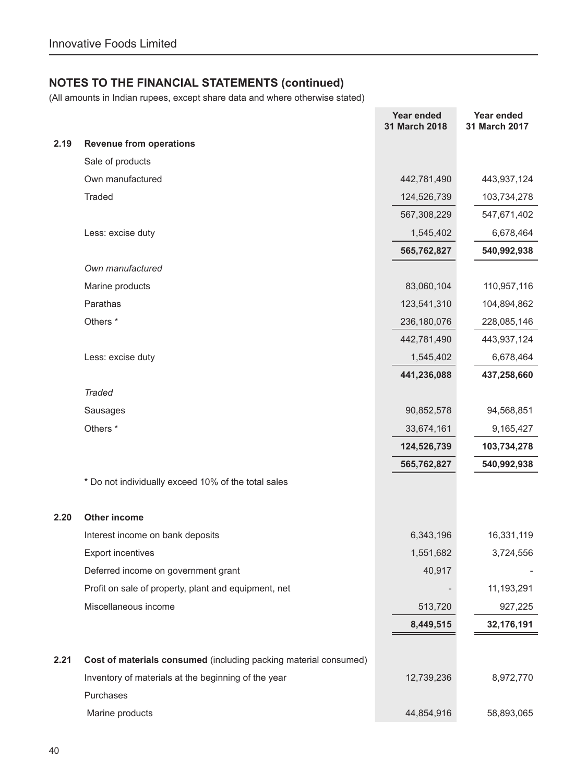|      |                                                                  | Year ended<br>31 March 2018 | Year ended<br>31 March 2017 |
|------|------------------------------------------------------------------|-----------------------------|-----------------------------|
| 2.19 | <b>Revenue from operations</b>                                   |                             |                             |
|      | Sale of products                                                 |                             |                             |
|      | Own manufactured                                                 | 442,781,490                 | 443,937,124                 |
|      | Traded                                                           | 124,526,739                 | 103,734,278                 |
|      |                                                                  | 567,308,229                 | 547,671,402                 |
|      | Less: excise duty                                                | 1,545,402                   | 6,678,464                   |
|      |                                                                  | 565,762,827                 | 540,992,938                 |
|      | Own manufactured                                                 |                             |                             |
|      | Marine products                                                  | 83,060,104                  | 110,957,116                 |
|      | Parathas                                                         | 123,541,310                 | 104,894,862                 |
|      | Others <sup>*</sup>                                              | 236,180,076                 | 228,085,146                 |
|      |                                                                  | 442,781,490                 | 443,937,124                 |
|      | Less: excise duty                                                | 1,545,402                   | 6,678,464                   |
|      |                                                                  | 441,236,088                 | 437,258,660                 |
|      | Traded                                                           |                             |                             |
|      | Sausages                                                         | 90,852,578                  | 94,568,851                  |
|      | Others <sup>*</sup>                                              | 33,674,161                  | 9,165,427                   |
|      |                                                                  | 124,526,739                 | 103,734,278                 |
|      |                                                                  | 565,762,827                 | 540,992,938                 |
|      | * Do not individually exceed 10% of the total sales              |                             |                             |
| 2.20 | Other income                                                     |                             |                             |
|      | Interest income on bank deposits                                 | 6,343,196                   | 16,331,119                  |
|      | <b>Export incentives</b>                                         | 1,551,682                   | 3,724,556                   |
|      | Deferred income on government grant                              | 40,917                      |                             |
|      | Profit on sale of property, plant and equipment, net             |                             | 11,193,291                  |
|      | Miscellaneous income                                             | 513,720                     | 927,225                     |
|      |                                                                  | 8,449,515                   | 32,176,191                  |
|      |                                                                  |                             |                             |
| 2.21 | Cost of materials consumed (including packing material consumed) |                             |                             |
|      | Inventory of materials at the beginning of the year              | 12,739,236                  | 8,972,770                   |
|      | Purchases                                                        |                             |                             |
|      | Marine products                                                  | 44,854,916                  | 58,893,065                  |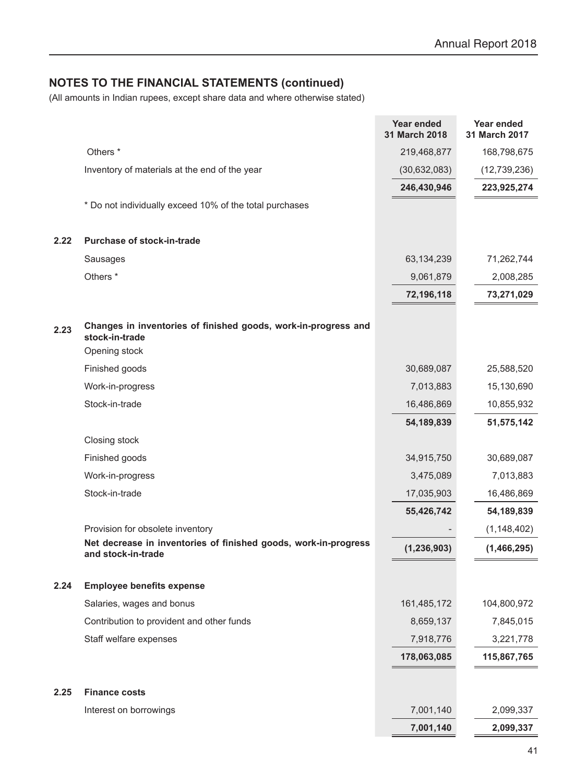|      |                                                                                                                           | Year ended<br>31 March 2018 | Year ended<br>31 March 2017  |
|------|---------------------------------------------------------------------------------------------------------------------------|-----------------------------|------------------------------|
|      | Others <sup>*</sup>                                                                                                       | 219,468,877                 | 168,798,675                  |
|      | Inventory of materials at the end of the year                                                                             | (30,632,083)                | (12,739,236)                 |
|      |                                                                                                                           | 246,430,946                 | 223,925,274                  |
|      | * Do not individually exceed 10% of the total purchases                                                                   |                             |                              |
| 2.22 | Purchase of stock-in-trade                                                                                                |                             |                              |
|      | Sausages                                                                                                                  | 63,134,239                  | 71,262,744                   |
|      | Others <sup>*</sup>                                                                                                       | 9,061,879                   | 2,008,285                    |
|      |                                                                                                                           | 72,196,118                  | 73,271,029                   |
| 2.23 | Changes in inventories of finished goods, work-in-progress and<br>stock-in-trade                                          |                             |                              |
|      | Opening stock                                                                                                             |                             |                              |
|      | Finished goods                                                                                                            | 30,689,087                  | 25,588,520                   |
|      | Work-in-progress                                                                                                          | 7,013,883                   | 15,130,690                   |
|      | Stock-in-trade                                                                                                            | 16,486,869                  | 10,855,932                   |
|      |                                                                                                                           | 54, 189, 839                | 51,575,142                   |
|      | Closing stock                                                                                                             |                             |                              |
|      | Finished goods                                                                                                            | 34,915,750                  | 30,689,087                   |
|      | Work-in-progress                                                                                                          | 3,475,089                   | 7,013,883                    |
|      | Stock-in-trade                                                                                                            | 17,035,903                  | 16,486,869                   |
|      |                                                                                                                           | 55,426,742                  | 54, 189, 839                 |
|      | Provision for obsolete inventory<br>Net decrease in inventories of finished goods, work-in-progress<br>and stock-in-trade | (1, 236, 903)               | (1, 148, 402)<br>(1,466,295) |
|      |                                                                                                                           |                             |                              |
| 2.24 | <b>Employee benefits expense</b>                                                                                          |                             |                              |
|      | Salaries, wages and bonus                                                                                                 | 161,485,172                 | 104,800,972                  |
|      | Contribution to provident and other funds                                                                                 | 8,659,137                   | 7,845,015                    |
|      | Staff welfare expenses                                                                                                    | 7,918,776                   | 3,221,778                    |
|      |                                                                                                                           | 178,063,085                 | 115,867,765                  |
| 2.25 | <b>Finance costs</b>                                                                                                      |                             |                              |
|      | Interest on borrowings                                                                                                    | 7,001,140                   | 2,099,337                    |
|      |                                                                                                                           | 7,001,140                   | 2,099,337                    |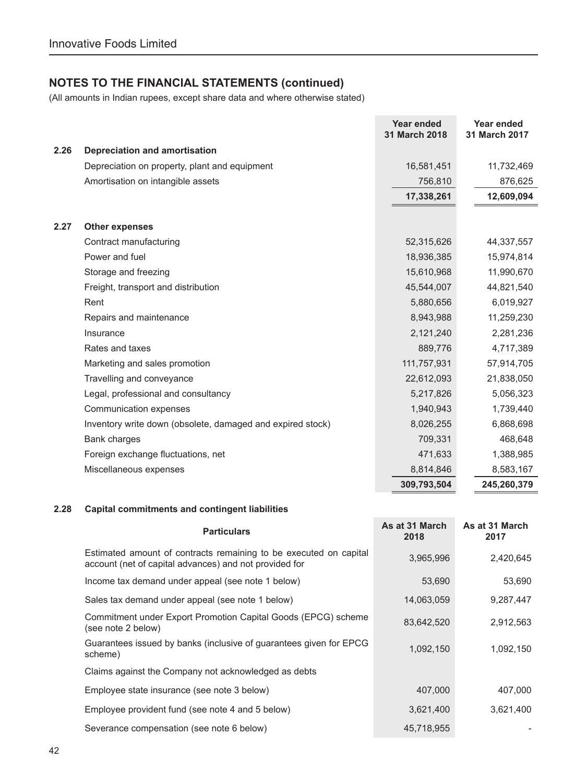(All amounts in Indian rupees, except share data and where otherwise stated)

|      |                                                            | Year ended<br>31 March 2018 | Year ended<br>31 March 2017 |
|------|------------------------------------------------------------|-----------------------------|-----------------------------|
| 2.26 | <b>Depreciation and amortisation</b>                       |                             |                             |
|      | Depreciation on property, plant and equipment              | 16,581,451                  | 11,732,469                  |
|      | Amortisation on intangible assets                          | 756,810                     | 876,625                     |
|      |                                                            | 17,338,261                  | 12,609,094                  |
|      |                                                            |                             |                             |
| 2.27 | <b>Other expenses</b>                                      |                             |                             |
|      | Contract manufacturing                                     | 52,315,626                  | 44,337,557                  |
|      | Power and fuel                                             | 18,936,385                  | 15,974,814                  |
|      | Storage and freezing                                       | 15,610,968                  | 11,990,670                  |
|      | Freight, transport and distribution                        | 45,544,007                  | 44,821,540                  |
|      | Rent                                                       | 5,880,656                   | 6,019,927                   |
|      | Repairs and maintenance                                    | 8,943,988                   | 11,259,230                  |
|      | Insurance                                                  | 2,121,240                   | 2,281,236                   |
|      | Rates and taxes                                            | 889,776                     | 4,717,389                   |
|      | Marketing and sales promotion                              | 111,757,931                 | 57,914,705                  |
|      | Travelling and conveyance                                  | 22,612,093                  | 21,838,050                  |
|      | Legal, professional and consultancy                        | 5,217,826                   | 5,056,323                   |
|      | Communication expenses                                     | 1,940,943                   | 1,739,440                   |
|      | Inventory write down (obsolete, damaged and expired stock) | 8,026,255                   | 6,868,698                   |
|      | Bank charges                                               | 709,331                     | 468,648                     |
|      | Foreign exchange fluctuations, net                         | 471,633                     | 1,388,985                   |
|      | Miscellaneous expenses                                     | 8,814,846                   | 8,583,167                   |
|      |                                                            | 309,793,504                 | 245,260,379                 |

# **2.28 Capital commitments and contingent liabilities**

| <b>Particulars</b>                                                                                                          | As at 31 March<br>2018 | As at 31 March<br>2017 |
|-----------------------------------------------------------------------------------------------------------------------------|------------------------|------------------------|
| Estimated amount of contracts remaining to be executed on capital<br>account (net of capital advances) and not provided for | 3,965,996              | 2.420.645              |
| Income tax demand under appeal (see note 1 below)                                                                           | 53.690                 | 53.690                 |
| Sales tax demand under appeal (see note 1 below)                                                                            | 14,063,059             | 9,287,447              |
| Commitment under Export Promotion Capital Goods (EPCG) scheme<br>(see note 2 below)                                         | 83,642,520             | 2,912,563              |
| Guarantees issued by banks (inclusive of guarantees given for EPCG<br>scheme)                                               | 1,092,150              | 1,092,150              |
| Claims against the Company not acknowledged as debts                                                                        |                        |                        |
| Employee state insurance (see note 3 below)                                                                                 | 407,000                | 407,000                |
| Employee provident fund (see note 4 and 5 below)                                                                            | 3,621,400              | 3,621,400              |
| Severance compensation (see note 6 below)                                                                                   | 45.718.955             |                        |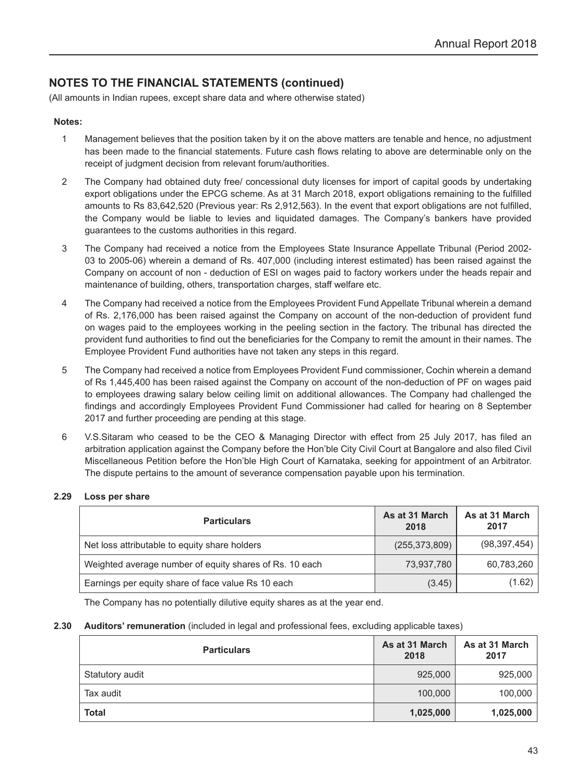(All amounts in Indian rupees, except share data and where otherwise stated)

# **Notes:**

- 1 Management believes that the position taken by it on the above matters are tenable and hence, no adjustment has been made to the financial statements. Future cash flows relating to above are determinable only on the receipt of judgment decision from relevant forum/authorities.
- 2 The Company had obtained duty free/ concessional duty licenses for import of capital goods by undertaking export obligations under the EPCG scheme. As at 31 March 2018, export obligations remaining to the fulfilled amounts to Rs 83,642,520 (Previous year: Rs 2,912,563). In the event that export obligations are not fulfilled, the Company would be liable to levies and liquidated damages. The Company's bankers have provided guarantees to the customs authorities in this regard.
- 3 The Company had received a notice from the Employees State Insurance Appellate Tribunal (Period 2002- 03 to 2005-06) wherein a demand of Rs. 407,000 (including interest estimated) has been raised against the Company on account of non - deduction of ESI on wages paid to factory workers under the heads repair and maintenance of building, others, transportation charges, staff welfare etc.
- 4 The Company had received a notice from the Employees Provident Fund Appellate Tribunal wherein a demand of Rs. 2,176,000 has been raised against the Company on account of the non-deduction of provident fund on wages paid to the employees working in the peeling section in the factory. The tribunal has directed the provident fund authorities to find out the beneficiaries for the Company to remit the amount in their names. The Employee Provident Fund authorities have not taken any steps in this regard.
- 5 The Company had received a notice from Employees Provident Fund commissioner, Cochin wherein a demand of Rs 1,445,400 has been raised against the Company on account of the non-deduction of PF on wages paid to employees drawing salary below ceiling limit on additional allowances. The Company had challenged the findings and accordingly Employees Provident Fund Commissioner had called for hearing on 8 September 2017 and further proceeding are pending at this stage.
- 6 V.S.Sitaram who ceased to be the CEO & Managing Director with effect from 25 July 2017, has filed an arbitration application against the Company before the Hon'ble City Civil Court at Bangalore and also filed Civil Miscellaneous Petition before the Hon'ble High Court of Karnataka, seeking for appointment of an Arbitrator. The dispute pertains to the amount of severance compensation payable upon his termination.

# **2.29 Loss per share**

| <b>Particulars</b>                                      | As at 31 March<br>2018 | As at 31 March<br>2017 |
|---------------------------------------------------------|------------------------|------------------------|
| Net loss attributable to equity share holders           | (255, 373, 809)        | (98, 397, 454)         |
| Weighted average number of equity shares of Rs. 10 each | 73,937,780             | 60,783,260             |
| Earnings per equity share of face value Rs 10 each      | (3.45)                 | (1.62)                 |

The Company has no potentially dilutive equity shares as at the year end.

### **2.30 Auditors' remuneration** (included in legal and professional fees, excluding applicable taxes)

| <b>Particulars</b> | As at 31 March<br>2018 | As at 31 March<br>2017 |
|--------------------|------------------------|------------------------|
| Statutory audit    | 925,000                | 925,000                |
| Tax audit          | 100,000                | 100,000                |
| <b>Total</b>       | 1,025,000              | 1,025,000              |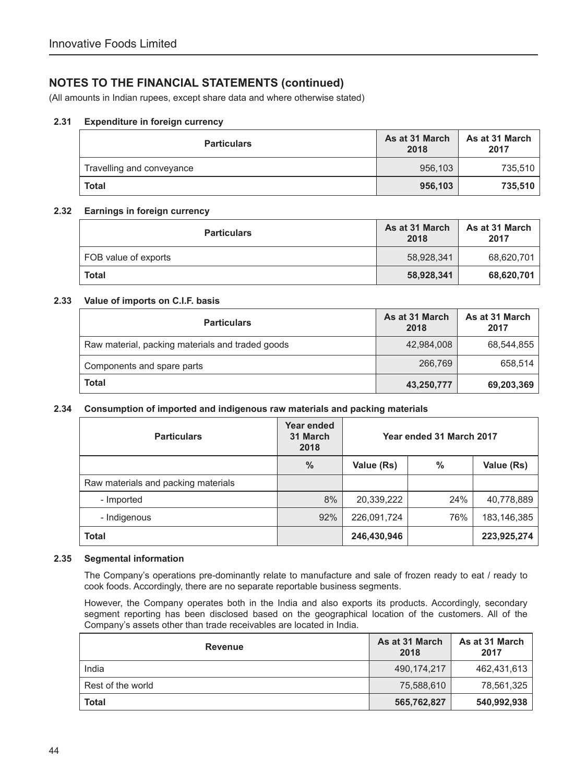(All amounts in Indian rupees, except share data and where otherwise stated)

# **2.31 Expenditure in foreign currency**

| <b>Particulars</b>        | As at 31 March<br>2018 | As at 31 March<br>2017 |
|---------------------------|------------------------|------------------------|
| Travelling and conveyance | 956.103                | 735.510                |
| <b>Total</b>              | 956,103                | 735,510                |

# **2.32 Earnings in foreign currency**

| <b>Particulars</b>   | As at 31 March<br>2018 | As at 31 March<br>2017 |
|----------------------|------------------------|------------------------|
| FOB value of exports | 58,928,341             | 68,620,701             |
| <b>Total</b>         | 58,928,341             | 68,620,701             |

# **2.33 Value of imports on C.I.F. basis**

| <b>Particulars</b>                               | As at 31 March<br>2018 | As at 31 March<br>2017 |
|--------------------------------------------------|------------------------|------------------------|
| Raw material, packing materials and traded goods | 42,984,008             | 68,544,855             |
| Components and spare parts                       | 266.769                | 658.514                |
| <b>Total</b>                                     | 43,250,777             | 69,203,369             |

# **2.34 Consumption of imported and indigenous raw materials and packing materials**

| <b>Particulars</b>                  | Year ended<br>31 March<br>2018 | Year ended 31 March 2017 |      |             |
|-------------------------------------|--------------------------------|--------------------------|------|-------------|
|                                     | $\frac{9}{6}$                  | Value (Rs)               | $\%$ | Value (Rs)  |
| Raw materials and packing materials |                                |                          |      |             |
| - Imported                          | 8%                             | 20,339,222               | 24%  | 40,778,889  |
| - Indigenous                        | 92%                            | 226,091,724              | 76%  | 183,146,385 |
| <b>Total</b>                        |                                | 246,430,946              |      | 223,925,274 |

# **2.35 Segmental information**

The Company's operations pre-dominantly relate to manufacture and sale of frozen ready to eat / ready to cook foods. Accordingly, there are no separate reportable business segments.

However, the Company operates both in the India and also exports its products. Accordingly, secondary segment reporting has been disclosed based on the geographical location of the customers. All of the Company's assets other than trade receivables are located in India.

| Revenue           | As at 31 March<br>2018 | As at 31 March<br>2017 |
|-------------------|------------------------|------------------------|
| India             | 490.174.217            | 462.431.613            |
| Rest of the world | 75,588,610             | 78.561.325             |
| <b>Total</b>      | 565,762,827            | 540,992,938            |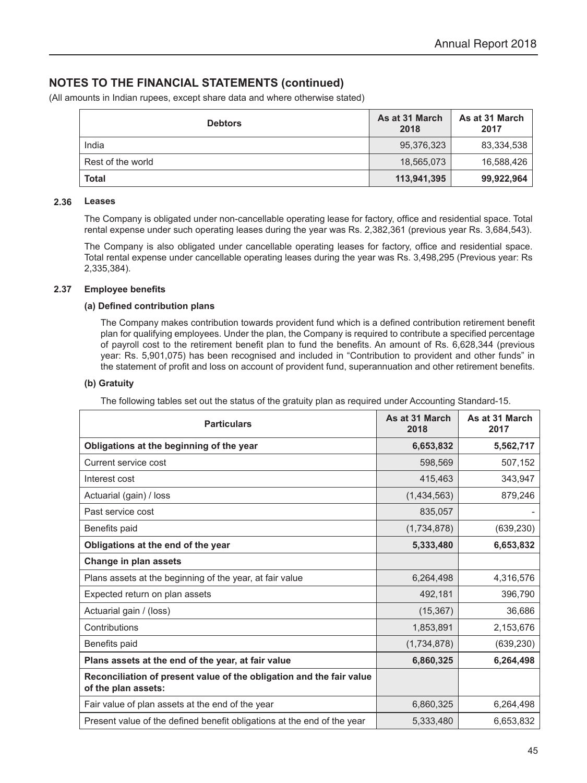(All amounts in Indian rupees, except share data and where otherwise stated)

| <b>Debtors</b>    | As at 31 March<br>2018 | As at 31 March<br>2017 |
|-------------------|------------------------|------------------------|
| India             | 95,376,323             | 83,334,538             |
| Rest of the world | 18,565,073             | 16,588,426             |
| <b>Total</b>      | 113,941,395            | 99,922,964             |

## **2.36 Leases**

The Company is obligated under non-cancellable operating lease for factory, office and residential space. Total rental expense under such operating leases during the year was Rs. 2,382,361 (previous year Rs. 3,684,543).

The Company is also obligated under cancellable operating leases for factory, office and residential space. Total rental expense under cancellable operating leases during the year was Rs. 3,498,295 (Previous year: Rs 2,335,384).

# **2.37 Employee benefits**

### **(a) Defined contribution plans**

The Company makes contribution towards provident fund which is a defined contribution retirement benefit plan for qualifying employees. Under the plan, the Company is required to contribute a specified percentage of payroll cost to the retirement benefit plan to fund the benefits. An amount of Rs. 6,628,344 (previous year: Rs. 5,901,075) has been recognised and included in "Contribution to provident and other funds" in the statement of profit and loss on account of provident fund, superannuation and other retirement benefits.

### **(b) Gratuity**

The following tables set out the status of the gratuity plan as required under Accounting Standard-15.

| <b>Particulars</b>                                                                          | As at 31 March<br>2018 | As at 31 March<br>2017 |
|---------------------------------------------------------------------------------------------|------------------------|------------------------|
| Obligations at the beginning of the year                                                    | 6,653,832              | 5,562,717              |
| Current service cost                                                                        | 598,569                | 507,152                |
| Interest cost                                                                               | 415,463                | 343,947                |
| Actuarial (gain) / loss                                                                     | (1,434,563)            | 879,246                |
| Past service cost                                                                           | 835,057                |                        |
| Benefits paid                                                                               | (1,734,878)            | (639, 230)             |
| Obligations at the end of the year                                                          | 5,333,480              | 6,653,832              |
| Change in plan assets                                                                       |                        |                        |
| Plans assets at the beginning of the year, at fair value                                    | 6,264,498              | 4,316,576              |
| Expected return on plan assets                                                              | 492,181                | 396,790                |
| Actuarial gain / (loss)                                                                     | (15, 367)              | 36,686                 |
| Contributions                                                                               | 1,853,891              | 2,153,676              |
| Benefits paid                                                                               | (1,734,878)            | (639, 230)             |
| Plans assets at the end of the year, at fair value                                          | 6,860,325              | 6,264,498              |
| Reconciliation of present value of the obligation and the fair value<br>of the plan assets: |                        |                        |
| Fair value of plan assets at the end of the year                                            | 6,860,325              | 6,264,498              |
| Present value of the defined benefit obligations at the end of the year                     | 5.333.480              | 6.653.832              |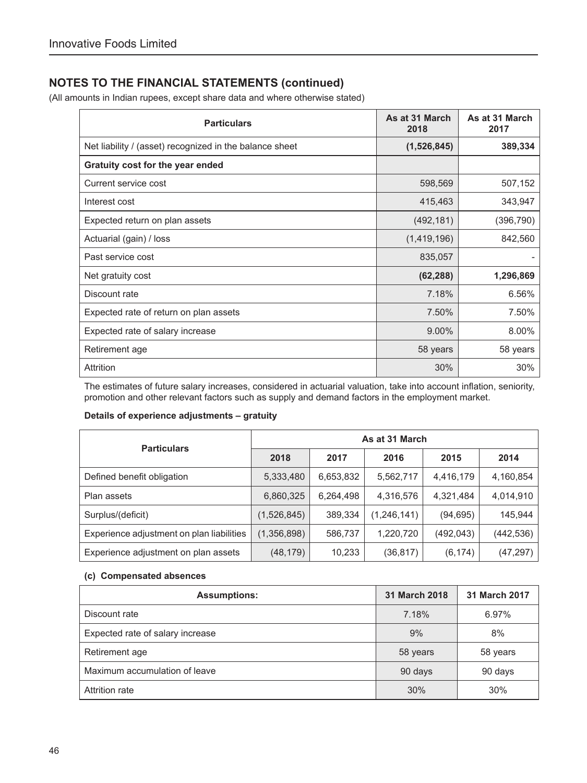(All amounts in Indian rupees, except share data and where otherwise stated)

| <b>Particulars</b>                                      | As at 31 March<br>2018 | As at 31 March<br>2017 |
|---------------------------------------------------------|------------------------|------------------------|
| Net liability / (asset) recognized in the balance sheet | (1,526,845)            | 389,334                |
| Gratuity cost for the year ended                        |                        |                        |
| Current service cost                                    | 598,569                | 507,152                |
| Interest cost                                           | 415,463                | 343,947                |
| Expected return on plan assets                          | (492, 181)             | (396, 790)             |
| Actuarial (gain) / loss                                 | (1,419,196)            | 842,560                |
| Past service cost                                       | 835,057                |                        |
| Net gratuity cost                                       | (62, 288)              | 1,296,869              |
| Discount rate                                           | 7.18%                  | 6.56%                  |
| Expected rate of return on plan assets                  | 7.50%                  | 7.50%                  |
| Expected rate of salary increase                        | $9.00\%$               | 8.00%                  |
| Retirement age                                          | 58 years               | 58 years               |
| Attrition                                               | 30%                    | 30%                    |

The estimates of future salary increases, considered in actuarial valuation, take into account inflation, seniority, promotion and other relevant factors such as supply and demand factors in the employment market.

# **Details of experience adjustments – gratuity**

| <b>Particulars</b>                        | As at 31 March |           |             |            |            |
|-------------------------------------------|----------------|-----------|-------------|------------|------------|
|                                           | 2018           | 2017      | 2016        | 2015       | 2014       |
| Defined benefit obligation                | 5,333,480      | 6,653,832 | 5,562,717   | 4,416,179  | 4,160,854  |
| Plan assets                               | 6,860,325      | 6,264,498 | 4,316,576   | 4,321,484  | 4,014,910  |
| Surplus/(deficit)                         | (1,526,845)    | 389,334   | (1,246,141) | (94, 695)  | 145,944    |
| Experience adjustment on plan liabilities | (1,356,898)    | 586,737   | 1,220,720   | (492, 043) | (442, 536) |
| Experience adjustment on plan assets      | (48, 179)      | 10,233    | (36, 817)   | (6, 174)   | (47, 297)  |

# **(c) Compensated absences**

| <b>Assumptions:</b>              | 31 March 2018 | 31 March 2017 |
|----------------------------------|---------------|---------------|
| Discount rate                    | 7.18%         | 6.97%         |
| Expected rate of salary increase | 9%            | 8%            |
| Retirement age                   | 58 years      | 58 years      |
| Maximum accumulation of leave    | 90 days       | 90 days       |
| Attrition rate                   | 30%           | 30%           |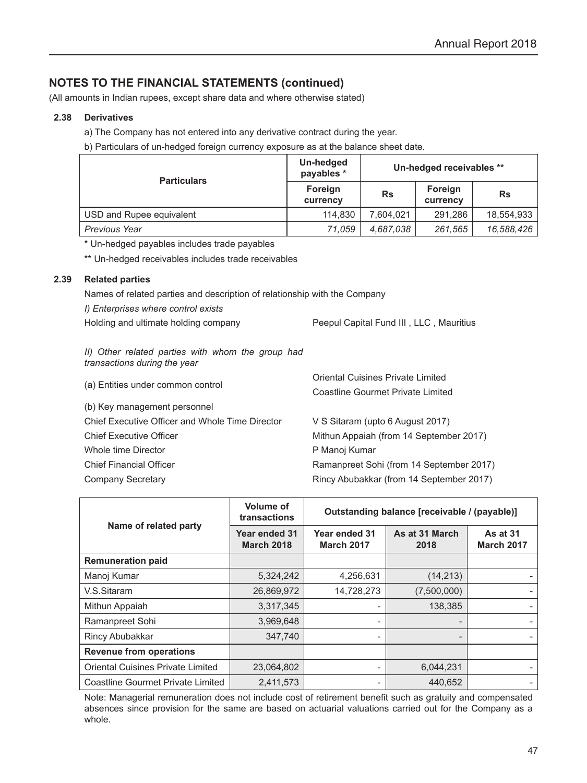(All amounts in Indian rupees, except share data and where otherwise stated)

# **2.38 Derivatives**

a) The Company has not entered into any derivative contract during the year.

b) Particulars of un-hedged foreign currency exposure as at the balance sheet date.

| <b>Particulars</b>       | Un-hedged<br>payables * | Un-hedged receivables ** |                     |            |
|--------------------------|-------------------------|--------------------------|---------------------|------------|
|                          | Foreign<br>currency     | <b>Rs</b>                | Foreign<br>currency | Rs         |
| USD and Rupee equivalent | 114.830                 | 7,604,021                | 291.286             | 18.554.933 |
| <b>Previous Year</b>     | 71.059                  | 4,687,038                | 261.565             | 16,588,426 |

\* Un-hedged payables includes trade payables

\*\* Un-hedged receivables includes trade receivables

# **2.39 Related parties**

Names of related parties and description of relationship with the Company

|  | I) Enterprises where control exists |  |  |  |  |
|--|-------------------------------------|--|--|--|--|
|--|-------------------------------------|--|--|--|--|

Holding and ultimate holding company Peepul Capital Fund III , LLC , Mauritius

*II) Other related parties with whom the group had transactions during the year*

|                                                 | Oriental Cuisines Private Limited        |  |  |
|-------------------------------------------------|------------------------------------------|--|--|
| (a) Entities under common control               | <b>Coastline Gourmet Private Limited</b> |  |  |
| (b) Key management personnel                    |                                          |  |  |
| Chief Executive Officer and Whole Time Director | V S Sitaram (upto 6 August 2017)         |  |  |
| <b>Chief Executive Officer</b>                  | Mithun Appaiah (from 14 September 2017)  |  |  |
| Whole time Director                             | P Manoj Kumar                            |  |  |
| <b>Chief Financial Officer</b>                  | Ramanpreet Sohi (from 14 September 2017) |  |  |
| Company Secretary                               | Rincy Abubakkar (from 14 September 2017) |  |  |

| Name of related party             | Volume of<br>transactions          | Outstanding balance [receivable / (payable)] |                        |                                      |
|-----------------------------------|------------------------------------|----------------------------------------------|------------------------|--------------------------------------|
|                                   | Year ended 31<br><b>March 2018</b> | Year ended 31<br><b>March 2017</b>           | As at 31 March<br>2018 | <b>As at 31</b><br><b>March 2017</b> |
| <b>Remuneration paid</b>          |                                    |                                              |                        |                                      |
| Manoj Kumar                       | 5,324,242                          | 4,256,631                                    | (14, 213)              |                                      |
| V.S.Sitaram                       | 26,869,972                         | 14,728,273                                   | (7,500,000)            |                                      |
| Mithun Appaiah                    | 3,317,345                          |                                              | 138,385                |                                      |
| Ramanpreet Sohi                   | 3,969,648                          |                                              |                        |                                      |
| Rincy Abubakkar                   | 347.740                            |                                              |                        |                                      |
| <b>Revenue from operations</b>    |                                    |                                              |                        |                                      |
| Oriental Cuisines Private Limited | 23.064.802                         |                                              | 6,044,231              |                                      |
| Coastline Gourmet Private Limited | 2,411,573                          |                                              | 440,652                |                                      |

Note: Managerial remuneration does not include cost of retirement benefit such as gratuity and compensated absences since provision for the same are based on actuarial valuations carried out for the Company as a whole.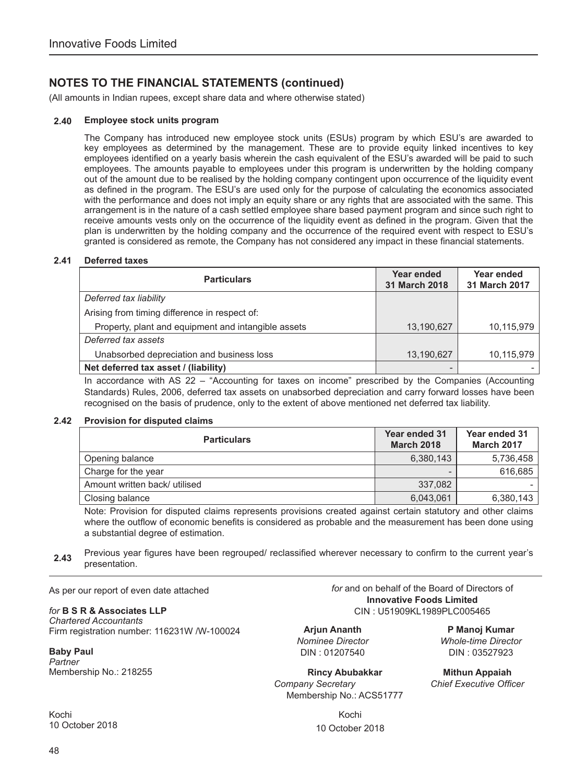(All amounts in Indian rupees, except share data and where otherwise stated)

# **2.40 Employee stock units program**

The Company has introduced new employee stock units (ESUs) program by which ESU's are awarded to key employees as determined by the management. These are to provide equity linked incentives to key employees identified on a yearly basis wherein the cash equivalent of the ESU's awarded will be paid to such employees. The amounts payable to employees under this program is underwritten by the holding company out of the amount due to be realised by the holding company contingent upon occurrence of the liquidity event as defined in the program. The ESU's are used only for the purpose of calculating the economics associated with the performance and does not imply an equity share or any rights that are associated with the same. This arrangement is in the nature of a cash settled employee share based payment program and since such right to receive amounts vests only on the occurrence of the liquidity event as defined in the program. Given that the plan is underwritten by the holding company and the occurrence of the required event with respect to ESU's granted is considered as remote, the Company has not considered any impact in these financial statements.

# **2.41 Deferred taxes**

| <b>Particulars</b>                                  | Year ended<br>31 March 2018 | Year ended<br>31 March 2017 |
|-----------------------------------------------------|-----------------------------|-----------------------------|
| Deferred tax liability                              |                             |                             |
| Arising from timing difference in respect of:       |                             |                             |
| Property, plant and equipment and intangible assets | 13,190,627                  | 10,115,979                  |
| Deferred tax assets                                 |                             |                             |
| Unabsorbed depreciation and business loss           | 13,190,627                  | 10.115.979                  |
| Net deferred tax asset / (liability)                |                             |                             |

In accordance with AS 22 – "Accounting for taxes on income" prescribed by the Companies (Accounting Standards) Rules, 2006, deferred tax assets on unabsorbed depreciation and carry forward losses have been recognised on the basis of prudence, only to the extent of above mentioned net deferred tax liability.

# **2.42 Provision for disputed claims**

| <b>Particulars</b>            | Year ended 31<br><b>March 2018</b> | Year ended 31<br><b>March 2017</b> |
|-------------------------------|------------------------------------|------------------------------------|
| Opening balance               | 6.380.143                          | 5,736,458                          |
| Charge for the year           |                                    | 616.685                            |
| Amount written back/ utilised | 337.082                            |                                    |
| Closing balance               | 6,043,061                          | 6,380,143                          |

Note: Provision for disputed claims represents provisions created against certain statutory and other claims where the outflow of economic benefits is considered as probable and the measurement has been done using a substantial degree of estimation.

2.43 Previous year figures have been regrouped/ reclassified wherever necessary to confirm to the current year's presentation.

As per our report of even date attached

*for* **B S R & Associates LLP**

*Chartered Accountants* Firm registration number: 116231W /W-100024

**Baby Paul** *Partner* Membership No.: 218255

Kochi 10 October 2018 *for* and on behalf of the Board of Directors of **Innovative Foods Limited** CIN : U51909KL1989PLC005465

**Arjun Ananth** *Nominee Director* DIN : 01207540

**Rincy Abubakkar** *Company Secretary* Membership No.: ACS51777

**P Manoj Kumar** *Whole-time Director* DIN : 03527923

**Mithun Appaiah** *Chief Executive Officer*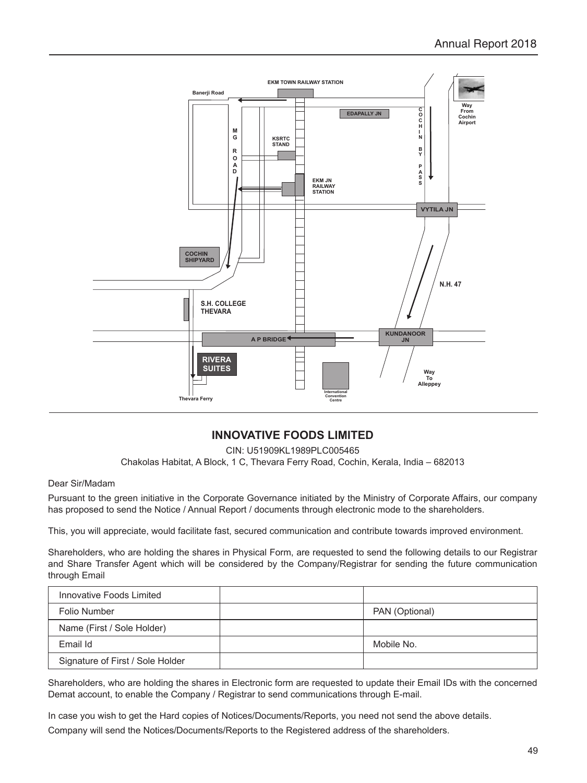

# **INNOVATIVE FOODS LIMITED**

CIN: U51909KL1989PLC005465

ان الناص العربية المستحدة العام 1909.<br>Chakolas Habitat, A Block, 1 C, Thevara Ferry Road, Cochin, Kerala, India – 682013 Criakolas Habitat, A Block, T.C., Thevara Ferry Road, Cochin, Refaia, India – 6620 TS

Dear Sir/Madam This, you will appreciate, would facilitate fast, secured communication and contribute towards improved environment.

Pursuant to the green initiative in the Corporate Governance initiated by the Ministry of Corporate Affairs, our company has proposed to send the Notice / Annual Report / documents through electronic mode to the shareholders.

This, you will appreciate, would facilitate fast, secured communication and contribute towards improved environment. For productly from the matrice racis occursed communication and communication  $\mathcal{L}$ 

Shareholders, who are holding the shares in Physical Form, are requested to send the following details to our Registrar Mobile No. and Share Transfer Agent which will be considered by the Company/Registrar for sending the future communication through Email Name (First / Sole Holder) s, wiiu<br>- $S_{\rm E}$  shareholders, who are requested to update the shares in Eq. ( ) are requested to update the shareholders in Eq. (

| Innovative Foods Limited         |                |
|----------------------------------|----------------|
| Folio Number                     | PAN (Optional) |
| Name (First / Sole Holder)       |                |
| Email Id                         | Mobile No.     |
| Signature of First / Sole Holder |                |

Shareholders, who are holding the shares in Electronic form are requested to update their Email IDs with the concerned Demat account, to enable the Company / Registrar to send communications through E-mail.

In case you wish to get the Hard copies of Notices/Documents/Reports, you need not send the above details. Company will send the Notices/Documents/Reports to the Registered address of the shareholders.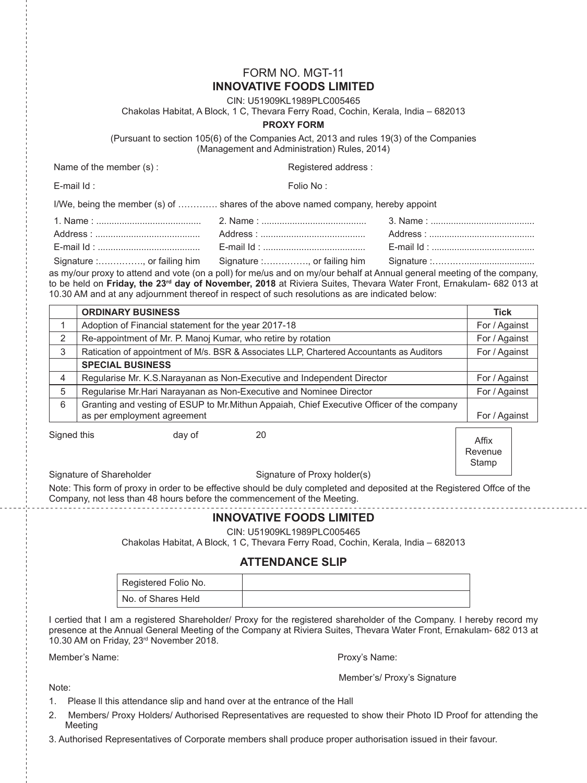# FORM NO. MGT-11 **INNOVATIVE FOODS LIMITED**

CIN: U51909KL1989PLC005465

Chakolas Habitat, A Block, 1 C, Thevara Ferry Road, Cochin, Kerala, India – 682013

### **PROXY FORM**

(Pursuant to section 105(6) of the Companies Act, 2013 and rules 19(3) of the Companies (Management and Administration) Rules, 2014)

Name of the member (s) : Registered address :

E-mail Id : Folio No : Folio No :

I/We, being the member (s) of …………. shares of the above named company, hereby appoint

as my/our proxy to attend and vote (on a poll) for me/us and on my/our behalf at Annual general meeting of the company, to be held on **Friday, the 23rd day of November, 2018** at Riviera Suites, Thevara Water Front, Ernakulam- 682 013 at 10.30 AM and at any adjournment thereof in respect of such resolutions as are indicated below:

|   | <b>ORDINARY BUSINESS</b>                                                                   | <b>Tick</b>   |
|---|--------------------------------------------------------------------------------------------|---------------|
|   | Adoption of Financial statement for the year 2017-18                                       | For / Against |
| 2 | Re-appointment of Mr. P. Manoj Kumar, who retire by rotation                               | For / Against |
| 3 | Ratication of appointment of M/s. BSR & Associates LLP, Chartered Accountants as Auditors  | For / Against |
|   | <b>SPECIAL BUSINESS</b>                                                                    |               |
| 4 | Regularise Mr. K.S. Narayanan as Non-Executive and Independent Director                    | For / Against |
| 5 | Regularise Mr. Hari Narayanan as Non-Executive and Nominee Director                        | For / Against |
| 6 | Granting and vesting of ESUP to Mr. Mithun Appaiah, Chief Executive Officer of the company |               |
|   | as per employment agreement                                                                | For / Against |
|   |                                                                                            |               |

Signed this day of 20

Affix Revenue **Stamp** 

Signature of Shareholder Signature of Proxy holder(s)

Note: This form of proxy in order to be effective should be duly completed and deposited at the Registered Offce of the Company, not less than 48 hours before the commencement of the Meeting.

# **INNOVATIVE FOODS LIMITED**

CIN: U51909KL1989PLC005465

Chakolas Habitat, A Block, 1 C, Thevara Ferry Road, Cochin, Kerala, India – 682013

# **ATTENDANCE SLIP**

| Registered Folio No. |  |
|----------------------|--|
| No. of Shares Held   |  |

I certied that I am a registered Shareholder/ Proxy for the registered shareholder of the Company. I hereby record my presence at the Annual General Meeting of the Company at Riviera Suites, Thevara Water Front, Ernakulam- 682 013 at 10.30 AM on Friday, 23rd November 2018.

Member's Name: Proxy's Name:

Member's/ Proxy's Signature

Note:

1. Please ll this attendance slip and hand over at the entrance of the Hall

2. Members/ Proxy Holders/ Authorised Representatives are requested to show their Photo ID Proof for attending the Meeting

3. Authorised Representatives of Corporate members shall produce proper authorisation issued in their favour.